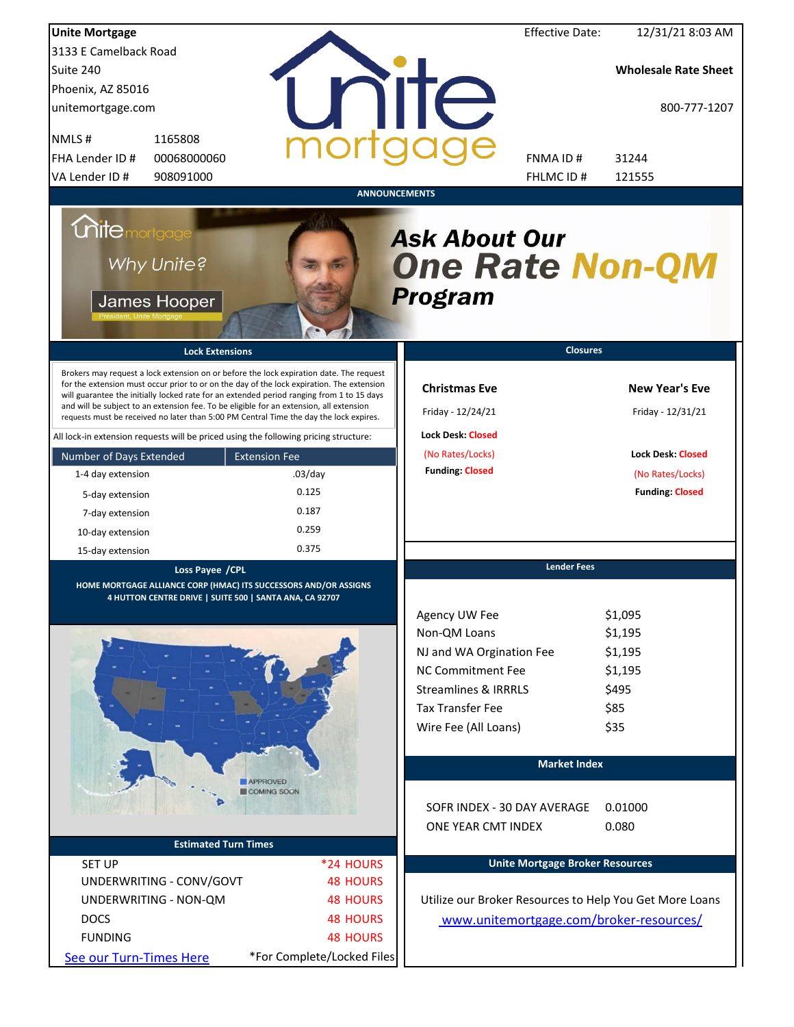| <b>Unite Mortgage</b>                                                                                                                                                                                                                                                                                                                                                                                                                                                                                                                                                                                                                                                                                                                 |                                                               |                                                                                                                                                                                                                 | <b>Effective Date:</b>                 | 12/31/21 8:03 AM                                                                                                     |
|---------------------------------------------------------------------------------------------------------------------------------------------------------------------------------------------------------------------------------------------------------------------------------------------------------------------------------------------------------------------------------------------------------------------------------------------------------------------------------------------------------------------------------------------------------------------------------------------------------------------------------------------------------------------------------------------------------------------------------------|---------------------------------------------------------------|-----------------------------------------------------------------------------------------------------------------------------------------------------------------------------------------------------------------|----------------------------------------|----------------------------------------------------------------------------------------------------------------------|
| 3133 E Camelback Road                                                                                                                                                                                                                                                                                                                                                                                                                                                                                                                                                                                                                                                                                                                 |                                                               |                                                                                                                                                                                                                 |                                        |                                                                                                                      |
| Suite 240                                                                                                                                                                                                                                                                                                                                                                                                                                                                                                                                                                                                                                                                                                                             |                                                               |                                                                                                                                                                                                                 |                                        | <b>Wholesale Rate Sheet</b>                                                                                          |
| Phoenix, AZ 85016                                                                                                                                                                                                                                                                                                                                                                                                                                                                                                                                                                                                                                                                                                                     |                                                               |                                                                                                                                                                                                                 |                                        |                                                                                                                      |
| unitemortgage.com                                                                                                                                                                                                                                                                                                                                                                                                                                                                                                                                                                                                                                                                                                                     |                                                               | <b>TITE</b>                                                                                                                                                                                                     |                                        | 800-777-1207                                                                                                         |
| 1165808<br>NMLS#                                                                                                                                                                                                                                                                                                                                                                                                                                                                                                                                                                                                                                                                                                                      |                                                               |                                                                                                                                                                                                                 |                                        |                                                                                                                      |
| FHA Lender ID #<br>00068000060                                                                                                                                                                                                                                                                                                                                                                                                                                                                                                                                                                                                                                                                                                        |                                                               |                                                                                                                                                                                                                 | FNMA ID#                               | 31244                                                                                                                |
| VA Lender ID #<br>908091000                                                                                                                                                                                                                                                                                                                                                                                                                                                                                                                                                                                                                                                                                                           |                                                               |                                                                                                                                                                                                                 | FHLMC ID #                             | 121555                                                                                                               |
| <b>Unite</b> mortgage<br>Why Unite?<br>James Hooper<br><b>Lock Extensions</b><br>Brokers may request a lock extension on or before the lock expiration date. The request<br>for the extension must occur prior to or on the day of the lock expiration. The extension<br>will guarantee the initially locked rate for an extended period ranging from 1 to 15 days<br>and will be subject to an extension fee. To be eligible for an extension, all extension<br>requests must be received no later than 5:00 PM Central Time the day the lock expires.<br>All lock-in extension requests will be priced using the following pricing structure:<br>Number of Days Extended<br>1-4 day extension<br>5-day extension<br>7-day extension | <b>Extension Fee</b><br>$.03$ /day<br>0.125<br>0.187<br>0.259 | <b>ANNOUNCEMENTS</b><br><b>Ask About Our</b><br><b>One Rate Non-QM</b><br><b>Program</b><br><b>Christmas Eve</b><br>Friday - 12/24/21<br><b>Lock Desk: Closed</b><br>(No Rates/Locks)<br><b>Funding: Closed</b> | <b>Closures</b>                        | <b>New Year's Eve</b><br>Friday - 12/31/21<br><b>Lock Desk: Closed</b><br>(No Rates/Locks)<br><b>Funding: Closed</b> |
| 10-day extension<br>15-day extension                                                                                                                                                                                                                                                                                                                                                                                                                                                                                                                                                                                                                                                                                                  | 0.375                                                         |                                                                                                                                                                                                                 |                                        |                                                                                                                      |
|                                                                                                                                                                                                                                                                                                                                                                                                                                                                                                                                                                                                                                                                                                                                       |                                                               |                                                                                                                                                                                                                 | <b>Lender Fees</b>                     |                                                                                                                      |
| Loss Payee / CPL<br>HOME MORTGAGE ALLIANCE CORP (HMAC) ITS SUCCESSORS AND/OR ASSIGNS<br>4 HUTTON CENTRE DRIVE   SUITE 500   SANTA ANA, CA 92707                                                                                                                                                                                                                                                                                                                                                                                                                                                                                                                                                                                       |                                                               |                                                                                                                                                                                                                 |                                        |                                                                                                                      |
|                                                                                                                                                                                                                                                                                                                                                                                                                                                                                                                                                                                                                                                                                                                                       |                                                               | Agency UW Fee                                                                                                                                                                                                   |                                        | \$1,095                                                                                                              |
|                                                                                                                                                                                                                                                                                                                                                                                                                                                                                                                                                                                                                                                                                                                                       |                                                               | Non-QM Loans                                                                                                                                                                                                    |                                        | \$1,195                                                                                                              |
|                                                                                                                                                                                                                                                                                                                                                                                                                                                                                                                                                                                                                                                                                                                                       |                                                               | NJ and WA Orgination Fee                                                                                                                                                                                        |                                        | \$1,195                                                                                                              |
|                                                                                                                                                                                                                                                                                                                                                                                                                                                                                                                                                                                                                                                                                                                                       |                                                               | <b>NC Commitment Fee</b>                                                                                                                                                                                        |                                        | \$1,195                                                                                                              |
|                                                                                                                                                                                                                                                                                                                                                                                                                                                                                                                                                                                                                                                                                                                                       |                                                               | <b>Streamlines &amp; IRRRLS</b>                                                                                                                                                                                 |                                        | \$495                                                                                                                |
|                                                                                                                                                                                                                                                                                                                                                                                                                                                                                                                                                                                                                                                                                                                                       |                                                               | <b>Tax Transfer Fee</b>                                                                                                                                                                                         |                                        | \$85                                                                                                                 |
|                                                                                                                                                                                                                                                                                                                                                                                                                                                                                                                                                                                                                                                                                                                                       |                                                               | Wire Fee (All Loans)                                                                                                                                                                                            |                                        | \$35                                                                                                                 |
|                                                                                                                                                                                                                                                                                                                                                                                                                                                                                                                                                                                                                                                                                                                                       |                                                               |                                                                                                                                                                                                                 | <b>Market Index</b>                    |                                                                                                                      |
|                                                                                                                                                                                                                                                                                                                                                                                                                                                                                                                                                                                                                                                                                                                                       | <b>APPROVED</b><br>COMING SOON                                |                                                                                                                                                                                                                 |                                        |                                                                                                                      |
|                                                                                                                                                                                                                                                                                                                                                                                                                                                                                                                                                                                                                                                                                                                                       |                                                               | SOFR INDEX - 30 DAY AVERAGE                                                                                                                                                                                     |                                        | 0.01000                                                                                                              |
|                                                                                                                                                                                                                                                                                                                                                                                                                                                                                                                                                                                                                                                                                                                                       |                                                               | ONE YEAR CMT INDEX                                                                                                                                                                                              |                                        | 0.080                                                                                                                |
| <b>Estimated Turn Times</b>                                                                                                                                                                                                                                                                                                                                                                                                                                                                                                                                                                                                                                                                                                           |                                                               |                                                                                                                                                                                                                 |                                        |                                                                                                                      |
| <b>SET UP</b>                                                                                                                                                                                                                                                                                                                                                                                                                                                                                                                                                                                                                                                                                                                         | *24 HOURS                                                     |                                                                                                                                                                                                                 | <b>Unite Mortgage Broker Resources</b> |                                                                                                                      |
| UNDERWRITING - CONV/GOVT                                                                                                                                                                                                                                                                                                                                                                                                                                                                                                                                                                                                                                                                                                              | <b>48 HOURS</b>                                               |                                                                                                                                                                                                                 |                                        |                                                                                                                      |
| UNDERWRITING - NON-QM                                                                                                                                                                                                                                                                                                                                                                                                                                                                                                                                                                                                                                                                                                                 | <b>48 HOURS</b>                                               | Utilize our Broker Resources to Help You Get More Loans                                                                                                                                                         |                                        |                                                                                                                      |
| <b>DOCS</b>                                                                                                                                                                                                                                                                                                                                                                                                                                                                                                                                                                                                                                                                                                                           | <b>48 HOURS</b>                                               | www.unitemortgage.com/broker-resources/                                                                                                                                                                         |                                        |                                                                                                                      |
| <b>FUNDING</b>                                                                                                                                                                                                                                                                                                                                                                                                                                                                                                                                                                                                                                                                                                                        | <b>48 HOURS</b>                                               |                                                                                                                                                                                                                 |                                        |                                                                                                                      |
| See our Turn-Times Here                                                                                                                                                                                                                                                                                                                                                                                                                                                                                                                                                                                                                                                                                                               | *For Complete/Locked Files                                    |                                                                                                                                                                                                                 |                                        |                                                                                                                      |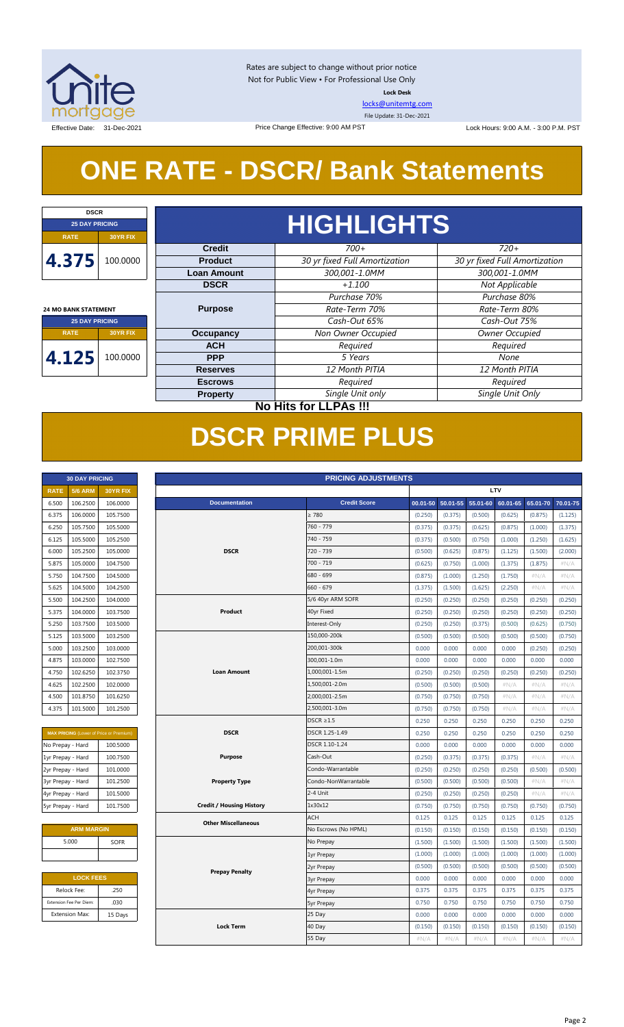

Rates are subject to change without prior notice Not for Public View • For Professional Use Only **Lock Desk**

[locks@unitemtg.com](mailto:locks@unitemtg.com)

File Update: 31-Dec-2021

Effective Date: 31-Dec-2021 **Date:** 31-Dec-2021 Price Change Effective: 9:00 AM PST Lock Hours: 9:00 A.M. - 3:00 P.M. PST

## **ONE RATE - DSCR/ Bank Statements**

Price Change Effective: 9:00 AM PST

| <b>DSCR</b>                                          |                                     |                    |                               |                               |  |            |         |      |  |
|------------------------------------------------------|-------------------------------------|--------------------|-------------------------------|-------------------------------|--|------------|---------|------|--|
| <b>25 DAY PRICING</b>                                |                                     | <b>HIGHLIGHTS</b>  |                               |                               |  |            |         |      |  |
| <b>RATE</b>                                          | <b>30YR FIX</b>                     |                    |                               |                               |  |            |         |      |  |
|                                                      |                                     | <b>Credit</b>      | $700+$                        | $720+$                        |  |            |         |      |  |
| 4.375                                                | 100.0000                            | <b>Product</b>     | 30 yr fixed Full Amortization | 30 yr fixed Full Amortization |  |            |         |      |  |
|                                                      |                                     | <b>Loan Amount</b> | 300,001-1.0MM                 | 300,001-1.0MM                 |  |            |         |      |  |
|                                                      |                                     | <b>DSCR</b>        | $+1.100$                      | Not Applicable                |  |            |         |      |  |
|                                                      |                                     |                    | Purchase 70%                  | Purchase 80%                  |  |            |         |      |  |
| <b>24 MO BANK STATEMENT</b><br><b>25 DAY PRICING</b> |                                     | <b>Purpose</b>     | Rate-Term 70%                 | Rate-Term 80%                 |  |            |         |      |  |
|                                                      |                                     |                    | Cash-Out 65%                  | Cash-Out 75%                  |  |            |         |      |  |
| <b>RATE</b>                                          | <b>Occupancy</b><br><b>30YR FIX</b> |                    | Non Owner Occupied            | Owner Occupied                |  |            |         |      |  |
|                                                      |                                     | <b>ACH</b>         | Required                      | Required                      |  |            |         |      |  |
| 4.125                                                | 100.0000                            |                    |                               |                               |  | <b>PPP</b> | 5 Years | None |  |
|                                                      |                                     | <b>Reserves</b>    | 12 Month PITIA                | 12 Month PITIA                |  |            |         |      |  |
|                                                      |                                     | <b>Escrows</b>     | Required                      | Required                      |  |            |         |      |  |
|                                                      |                                     | <b>Property</b>    | Single Unit only              | Single Unit Only              |  |            |         |      |  |
|                                                      | <b>No Hits for LLPAs !!!</b>        |                    |                               |                               |  |            |         |      |  |

## **DSCR PRIME PLUS**

| <b>30 DAY PRICING</b> |                |                 |  |  |  |  |
|-----------------------|----------------|-----------------|--|--|--|--|
| <b>RATE</b>           | <b>5/6 ARM</b> | <b>30YR FIX</b> |  |  |  |  |
| 6.500                 | 106.2500       | 106.0000        |  |  |  |  |
| 6.375                 | 106.0000       | 105.7500        |  |  |  |  |
| 6.250                 | 105.7500       | 105.5000        |  |  |  |  |
| 6.125                 | 105.5000       | 105.2500        |  |  |  |  |
| 6.000                 | 105.2500       | 105.0000        |  |  |  |  |
| 5.875                 | 105.0000       | 104.7500        |  |  |  |  |
| 5.750                 | 104.7500       | 104.5000        |  |  |  |  |
| 5.625                 | 104.5000       | 104.2500        |  |  |  |  |
| 5.500                 | 104.2500       | 104.0000        |  |  |  |  |
| 5.375                 | 104.0000       | 103.7500        |  |  |  |  |
| 5.250                 | 103.7500       | 103.5000        |  |  |  |  |
| 5.125                 | 103.5000       | 103.2500        |  |  |  |  |
| 5.000                 | 103.2500       | 103.0000        |  |  |  |  |
| 4.875                 | 103.0000       | 102.7500        |  |  |  |  |
| 4.750                 | 102.6250       | 102.3750        |  |  |  |  |
| 4.625                 | 102.2500       | 102,0000        |  |  |  |  |
| 4.500                 | 101.8750       | 101.6250        |  |  |  |  |
| 4.375                 | 101.5000       | 101.2500        |  |  |  |  |

| <b>MAX PRICING</b> (Lower of Price or Premium) |          |  |  |  |  |  |  |
|------------------------------------------------|----------|--|--|--|--|--|--|
| No Prepay - Hard                               | 100.5000 |  |  |  |  |  |  |
| 1yr Prepay - Hard                              | 100.7500 |  |  |  |  |  |  |
| 2yr Prepay - Hard                              | 101.0000 |  |  |  |  |  |  |
| 3yr Prepay - Hard                              | 101.2500 |  |  |  |  |  |  |
| 4yr Prepay - Hard                              | 101.5000 |  |  |  |  |  |  |
| 5yr Prepay - Hard                              | 101.7500 |  |  |  |  |  |  |

| <b>ARM MARGIN</b> |             |  |  |  |  |  |
|-------------------|-------------|--|--|--|--|--|
| 5.000             | <b>SOFR</b> |  |  |  |  |  |
|                   |             |  |  |  |  |  |

| <b>LOCK FEES</b>        |         |  |  |  |  |  |
|-------------------------|---------|--|--|--|--|--|
| Relock Fee:             | .250    |  |  |  |  |  |
| Extension Fee Per Diem: | .030    |  |  |  |  |  |
| <b>Extension Max:</b>   | 15 Days |  |  |  |  |  |
|                         |         |  |  |  |  |  |

|                   | <b>30 DAY PRICING</b>   |                                         | <b>PRICING ADJUSTMENTS</b> |                                 |                      |          |          |          |          |          |          |
|-------------------|-------------------------|-----------------------------------------|----------------------------|---------------------------------|----------------------|----------|----------|----------|----------|----------|----------|
| <b>RATE</b>       | <b>5/6 ARM</b>          | 30YR FIX                                |                            |                                 |                      | LTV      |          |          |          |          |          |
| 6.500             | 106.2500                | 106.0000                                |                            | <b>Documentation</b>            | <b>Credit Score</b>  | 00.01-50 | 50.01-55 | 55.01-60 | 60.01-65 | 65.01-70 | 70.01-75 |
| 6.375             | 106.0000                | 105.7500                                |                            |                                 | $\geq 780$           | (0.250)  | (0.375)  | (0.500)  | (0.625)  | (0.875)  | (1.125)  |
| 6.250             | 105.7500                | 105.5000                                |                            |                                 | 760 - 779            | (0.375)  | (0.375)  | (0.625)  | (0.875)  | (1.000)  | (1.375)  |
| 6.125             | 105.5000                | 105.2500                                |                            |                                 | 740 - 759            | (0.375)  | (0.500)  | (0.750)  | (1.000)  | (1.250)  | (1.625)  |
| 6.000             | 105.2500                | 105.0000                                |                            | <b>DSCR</b>                     | 720 - 739            | (0.500)  | (0.625)  | (0.875)  | (1.125)  | (1.500)  | (2.000)  |
| 5.875             | 105.0000                | 104.7500                                |                            |                                 | 700 - 719            | (0.625)  | (0.750)  | (1.000)  | (1.375)  | (1.875)  | #N/A     |
| 5.750             | 104.7500                | 104.5000                                |                            |                                 | 680 - 699            | (0.875)  | (1.000)  | (1.250)  | (1.750)  | #N/A     | #N/A     |
| 5.625             | 104.5000                | 104.2500                                |                            |                                 | $660 - 679$          | (1.375)  | (1.500)  | (1.625)  | (2.250)  | #N/A     | #N/A     |
| 5.500             | 104.2500                | 104.0000                                |                            |                                 | 5/6 40yr ARM SOFR    | (0.250)  | (0.250)  | (0.250)  | (0.250)  | (0.250)  | (0.250)  |
| 5.375             | 104.0000                | 103.7500                                |                            | Product                         | 40yr Fixed           | (0.250)  | (0.250)  | (0.250)  | (0.250)  | (0.250)  | (0.250)  |
| 5.250             | 103.7500                | 103.5000                                |                            |                                 | Interest-Only        | (0.250)  | (0.250)  | (0.375)  | (0.500)  | (0.625)  | (0.750)  |
| 5.125             | 103.5000                | 103.2500                                |                            |                                 | 150,000-200k         | (0.500)  | (0.500)  | (0.500)  | (0.500)  | (0.500)  | (0.750)  |
| 5.000             | 103.2500                | 103.0000                                |                            |                                 | 200,001-300k         | 0.000    | 0.000    | 0.000    | 0.000    | (0.250)  | (0.250)  |
| 4.875             | 103.0000                | 102.7500                                |                            |                                 | 300,001-1.0m         | 0.000    | 0.000    | 0.000    | 0.000    | 0.000    | 0.000    |
| 4.750             | 102.6250                | 102.3750                                |                            | <b>Loan Amount</b>              | 1,000,001-1.5m       | (0.250)  | (0.250)  | (0.250)  | (0.250)  | (0.250)  | (0.250)  |
| 4.625             | 102.2500                | 102.0000                                |                            |                                 | 1,500,001-2.0m       | (0.500)  | (0.500)  | (0.500)  | $\#N/A$  | $\#N/A$  | #N/A     |
| 4.500             | 101.8750                | 101.6250                                |                            |                                 | 2,000,001-2.5m       | (0.750)  | (0.750)  | (0.750)  | #N/A     | #N/A     | #N/A     |
| 4.375             | 101.5000                | 101.2500                                |                            |                                 | 2,500,001-3.0m       | (0.750)  | (0.750)  | (0.750)  | $\#N/A$  | #N/A     | #N/A     |
|                   |                         |                                         |                            |                                 | $DSCR \geq 1.5$      | 0.250    | 0.250    | 0.250    | 0.250    | 0.250    | 0.250    |
|                   |                         | MAX PRICING (Lower of Price or Premium) |                            | <b>DSCR</b>                     | DSCR 1.25-1.49       | 0.250    | 0.250    | 0.250    | 0.250    | 0.250    | 0.250    |
| No Prepay - Hard  |                         | 100.5000                                |                            |                                 | DSCR 1.10-1.24       | 0.000    | 0.000    | 0.000    | 0.000    | 0.000    | 0.000    |
| 1yr Prepay - Hard |                         | 100.7500                                |                            | Purpose                         | Cash-Out             | (0.250)  | (0.375)  | (0.375)  | (0.375)  | #N/A     | #N/A     |
| 2yr Prepay - Hard |                         | 101.0000                                |                            |                                 | Condo-Warrantable    | (0.250)  | (0.250)  | (0.250)  | (0.250)  | (0.500)  | (0.500)  |
| 3yr Prepay - Hard |                         | 101.2500                                |                            | <b>Property Type</b>            | Condo-NonWarrantable | (0.500)  | (0.500)  | (0.500)  | (0.500)  | #N/A     | #N/A     |
| 4yr Prepay - Hard |                         | 101.5000                                |                            |                                 | 2-4 Unit             | (0.250)  | (0.250)  | (0.250)  | (0.250)  | #N/A     | #N/A     |
| 5yr Prepay - Hard |                         | 101.7500                                |                            | <b>Credit / Housing History</b> | 1x30x12              | (0.750)  | (0.750)  | (0.750)  | (0.750)  | (0.750)  | (0.750)  |
|                   |                         |                                         |                            | <b>Other Miscellaneous</b>      | <b>ACH</b>           | 0.125    | 0.125    | 0.125    | 0.125    | 0.125    | 0.125    |
|                   | <b>ARM MARGIN</b>       |                                         |                            |                                 | No Escrows (No HPML) | (0.150)  | (0.150)  | (0.150)  | (0.150)  | (0.150)  | (0.150)  |
|                   | 5.000                   | <b>SOFR</b>                             |                            |                                 | No Prepay            | (1.500)  | (1.500)  | (1.500)  | (1.500)  | (1.500)  | (1.500)  |
|                   |                         |                                         |                            |                                 | 1yr Prepay           | (1.000)  | (1.000)  | (1.000)  | (1.000)  | (1.000)  | (1.000)  |
|                   |                         |                                         |                            | <b>Prepay Penalty</b>           | 2yr Prepay           | (0.500)  | (0.500)  | (0.500)  | (0.500)  | (0.500)  | (0.500)  |
|                   | <b>LOCK FEES</b>        |                                         |                            |                                 | <b>3yr Prepay</b>    | 0.000    | 0.000    | 0.000    | 0.000    | 0.000    | 0.000    |
|                   | Relock Fee:             | .250                                    |                            |                                 | 4yr Prepay           | 0.375    | 0.375    | 0.375    | 0.375    | 0.375    | 0.375    |
|                   | Extension Fee Per Diem: | .030                                    |                            |                                 | <b>5yr Prepay</b>    | 0.750    | 0.750    | 0.750    | 0.750    | 0.750    | 0.750    |
|                   | <b>Extension Max:</b>   | 15 Days                                 |                            |                                 | 25 Day               | 0.000    | 0.000    | 0.000    | 0.000    | 0.000    | 0.000    |
|                   |                         |                                         |                            | <b>Lock Term</b>                | 40 Day               | (0.150)  | (0.150)  | (0.150)  | (0.150)  | (0.150)  | (0.150)  |
|                   |                         |                                         |                            |                                 | 55 Day               | #N/A     | $\#N/A$  | $\#N/A$  | #N/A     | #N/A     | $\#N/A$  |
|                   |                         |                                         |                            |                                 |                      |          |          |          |          |          |          |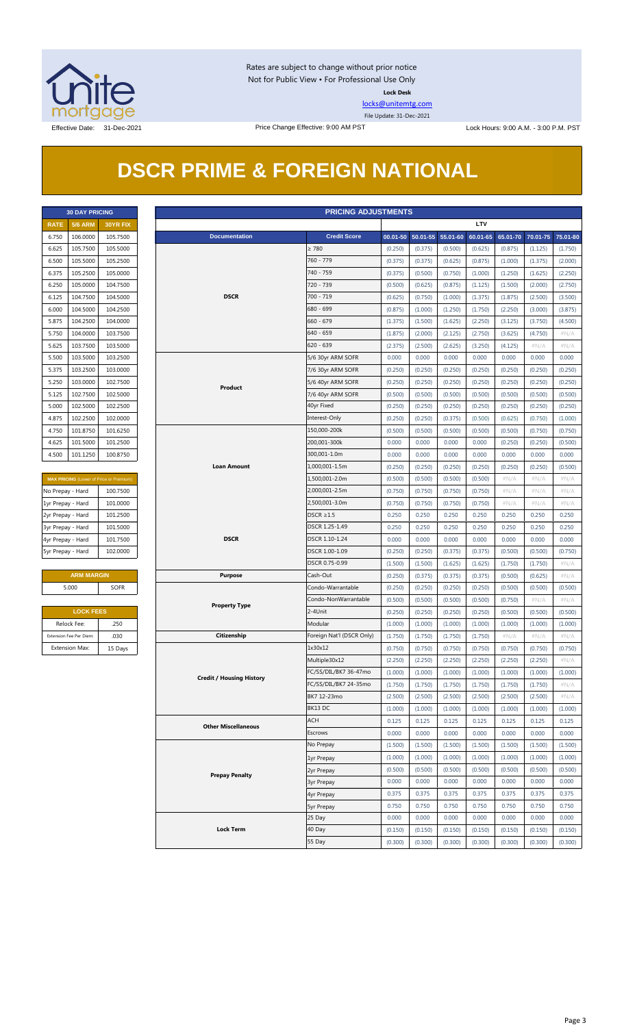

Rates are subject to change without prior notice Not for Public View • For Professional Use Only **Lock Desk**

[locks@unitemtg.com](mailto:locks@unitemtg.com)

File Update: 31-Dec-2021

Effective Date: 31-Dec-2021 Price Change Effective: 9:00 AM PST Lock Hours: 9:00 A.M. - 3:00 P.M. PST

## **DSCR PRIME & FOREIGN NATIONAL**

|             | <b>30 DAY PRICING</b> |                 |
|-------------|-----------------------|-----------------|
| <b>RATE</b> | <b>5/6 ARM</b>        | <b>30YR FIX</b> |
| 6.750       | 106.0000              | 105.7500        |
| 6.625       | 105.7500              | 105.5000        |
| 6.500       | 105.5000              | 105.2500        |
| 6.375       | 105.2500              | 105.0000        |
| 6.250       | 105.0000              | 104.7500        |
| 6.125       | 104.7500              | 104.5000        |
| 6.000       | 104.5000              | 104.2500        |
| 5.875       | 104.2500              | 104.0000        |
| 5.750       | 104.0000              | 103.7500        |
| 5.625       | 103.7500              | 103.5000        |
| 5.500       | 103.5000              | 103.2500        |
| 5.375       | 103.2500              | 103.0000        |
| 5.250       | 103.0000              | 102.7500        |
| 5.125       | 102.7500              | 102.5000        |
| 5.000       | 102.5000              | 102.2500        |
| 4.875       | 102.2500              | 102,0000        |
| 4.750       | 101.8750              | 101.6250        |
| 4.625       | 101.5000              | 101.2500        |
| 4.500       | 101.1250              | 100.8750        |

| <b>MAX PRICING</b> (Lower of Price or Premium) |          |  |  |  |  |  |  |
|------------------------------------------------|----------|--|--|--|--|--|--|
| No Prepay - Hard                               | 100.7500 |  |  |  |  |  |  |
| 1yr Prepay - Hard                              | 101.0000 |  |  |  |  |  |  |
| 2yr Prepay - Hard                              | 101.2500 |  |  |  |  |  |  |
| 3yr Prepay - Hard                              | 101.5000 |  |  |  |  |  |  |
| 4yr Prepay - Hard                              | 101.7500 |  |  |  |  |  |  |
| 5yr Prepay - Hard                              | 102.0000 |  |  |  |  |  |  |

| <b>ARM MARGIN</b> |             |  |  |  |  |  |
|-------------------|-------------|--|--|--|--|--|
| 5.000             | <b>SOFR</b> |  |  |  |  |  |
|                   |             |  |  |  |  |  |

| <b>LOCK FEES</b>        |         |  |  |  |  |
|-------------------------|---------|--|--|--|--|
| Relock Fee:             | .250    |  |  |  |  |
| Extension Fee Per Diem: | .030    |  |  |  |  |
| <b>Extension Max:</b>   | 15 Days |  |  |  |  |

| <b>PRICING ADJUSTMENTS</b><br><b>30 DAY PRICING</b> |                         |                                         |                                 |                           |         |                            |         |            |         |                            |         |
|-----------------------------------------------------|-------------------------|-----------------------------------------|---------------------------------|---------------------------|---------|----------------------------|---------|------------|---------|----------------------------|---------|
| <b>RATE</b>                                         | <b>5/6 ARM</b>          | 30YR FIX                                |                                 |                           |         |                            |         | <b>LTV</b> |         |                            |         |
| 6.750                                               | 106.0000                | 105.7500                                | <b>Documentation</b>            | <b>Credit Score</b>       |         | 00.01-50 50.01-55 55.01-60 |         | 60.01-65   |         | 65.01-70 70.01-75 75.01-80 |         |
| 6.625                                               | 105.7500                | 105.5000                                |                                 | $\geq 780$                | (0.250) | (0.375)                    | (0.500) | (0.625)    | (0.875) | (1.125)                    | (1.750) |
| 6.500                                               | 105.5000                | 105.2500                                |                                 | 760 - 779                 | (0.375) | (0.375)                    | (0.625) | (0.875)    | (1.000) | (1.375)                    | (2.000) |
| 6.375                                               | 105.2500                | 105.0000                                |                                 | 740 - 759                 | (0.375) | (0.500)                    | (0.750) | (1.000)    | (1.250) | (1.625)                    | (2.250) |
| 6.250                                               | 105.0000                | 104.7500                                |                                 | 720 - 739                 | (0.500) | (0.625)                    | (0.875) | (1.125)    | (1.500) | (2.000)                    | (2.750) |
| 6.125                                               | 104.7500                | 104.5000                                | <b>DSCR</b>                     | 700 - 719                 | (0.625) | (0.750)                    | (1.000) | (1.375)    | (1.875) | (2.500)                    | (3.500) |
| 6.000                                               | 104.5000                | 104.2500                                |                                 | 680 - 699                 | (0.875) | (1.000)                    | (1.250) | (1.750)    | (2.250) | (3.000)                    | (3.875) |
| 5.875                                               | 104.2500                | 104.0000                                |                                 | $660 - 679$               | (1.375) | (1.500)                    | (1.625) | (2.250)    | (3.125) | (3.750)                    | (4.500) |
| 5.750                                               | 104.0000                | 103.7500                                |                                 | 640 - 659                 | (1.875) | (2.000)                    | (2.125) | (2.750)    | (3.625) | (4.750)                    | $\#N/A$ |
| 5.625                                               | 103.7500                | 103.5000                                |                                 | $620 - 639$               | (2.375) | (2.500)                    | (2.625) | (3.250)    | (4.125) | # $N/A$                    | $\#N/A$ |
| 5.500                                               | 103.5000                | 103.2500                                |                                 | 5/6 30yr ARM SOFR         | 0.000   | 0.000                      | 0.000   | 0.000      | 0.000   | 0.000                      | 0.000   |
| 5.375                                               | 103.2500                | 103.0000                                |                                 | 7/6 30yr ARM SOFR         | (0.250) | (0.250)                    | (0.250) | (0.250)    | (0.250) | (0.250)                    | (0.250) |
| 5.250                                               | 103.0000                | 102.7500                                |                                 | 5/6 40yr ARM SOFR         | (0.250) | (0.250)                    | (0.250) | (0.250)    | (0.250) | (0.250)                    | (0.250) |
|                                                     |                         |                                         | Product                         |                           |         |                            |         |            |         |                            |         |
| 5.125                                               | 102.7500                | 102.5000                                |                                 | 7/6 40yr ARM SOFR         | (0.500) | (0.500)                    | (0.500) | (0.500)    | (0.500) | (0.500)                    | (0.500) |
| 5.000                                               | 102.5000                | 102.2500                                |                                 | 40yr Fixed                | (0.250) | (0.250)                    | (0.250) | (0.250)    | (0.250) | (0.250)                    | (0.250) |
| 4.875                                               | 102.2500                | 102.0000                                |                                 | Interest-Only             | (0.250) | (0.250)                    | (0.375) | (0.500)    | (0.625) | (0.750)                    | (1.000) |
| 4.750                                               | 101.8750                | 101.6250                                |                                 | 150,000-200k              | (0.500) | (0.500)                    | (0.500) | (0.500)    | (0.500) | (0.750)                    | (0.750) |
| 4.625                                               | 101.5000                | 101.2500                                |                                 | 200,001-300k              | 0.000   | 0.000                      | 0.000   | 0.000      | (0.250) | (0.250)                    | (0.500) |
| 4.500                                               | 101.1250                | 100.8750                                |                                 | 300,001-1.0m              | 0.000   | 0.000                      | 0.000   | 0.000      | 0.000   | 0.000                      | 0.000   |
|                                                     |                         |                                         | <b>Loan Amount</b>              | 1,000,001-1.5m            | (0.250) | (0.250)                    | (0.250) | (0.250)    | (0.250) | (0.250)                    | (0.500) |
|                                                     |                         | MAX PRICING (Lower of Price or Premium) |                                 | 1,500,001-2.0m            | (0.500) | (0.500)                    | (0.500) | (0.500)    | $\#N/A$ | #N/A                       | $\#N/A$ |
| No Prepay - Hard                                    |                         | 100.7500                                |                                 | 2,000,001-2.5m            | (0.750) | (0.750)                    | (0.750) | (0.750)    | # $N/A$ | # $N/A$                    | $\#N/A$ |
| 1yr Prepay - Hard                                   |                         | 101.0000                                |                                 | 2,500,001-3.0m            | (0.750) | (0.750)                    | (0.750) | (0.750)    | # $N/A$ | # $N/A$                    | $\#N/A$ |
| 2yr Prepay - Hard                                   |                         | 101.2500                                |                                 | $DSCR \geq 1.5$           | 0.250   | 0.250                      | 0.250   | 0.250      | 0.250   | 0.250                      | 0.250   |
| 3yr Prepay - Hard                                   |                         | 101.5000                                |                                 | DSCR 1.25-1.49            | 0.250   | 0.250                      | 0.250   | 0.250      | 0.250   | 0.250                      | 0.250   |
| 4yr Prepay - Hard                                   |                         | 101.7500                                | <b>DSCR</b>                     | DSCR 1.10-1.24            | 0.000   | 0.000                      | 0.000   | 0.000      | 0.000   | 0.000                      | 0.000   |
| 5yr Prepay - Hard                                   |                         | 102.0000                                |                                 | DSCR 1.00-1.09            | (0.250) | (0.250)                    | (0.375) | (0.375)    | (0.500) | (0.500)                    | (0.750) |
|                                                     |                         |                                         |                                 | DSCR 0.75-0.99            | (1.500) | (1.500)                    | (1.625) | (1.625)    | (1.750) | (1.750)                    | #N/A    |
|                                                     | <b>ARM MARGIN</b>       |                                         | <b>Purpose</b>                  | Cash-Out                  | (0.250) | (0.375)                    | (0.375) | (0.375)    | (0.500) | (0.625)                    | $\#N/A$ |
|                                                     | 5.000                   | <b>SOFR</b>                             |                                 | Condo-Warrantable         | (0.250) | (0.250)                    | (0.250) | (0.250)    | (0.500) | (0.500)                    | (0.500) |
|                                                     |                         |                                         |                                 | Condo-NonWarrantable      | (0.500) | (0.500)                    | (0.500) | (0.500)    | (0.750) | #N/A                       | #N/A    |
|                                                     | <b>LOCK FEES</b>        |                                         | <b>Property Type</b>            | 2-4Unit                   | (0.250) | (0.250)                    | (0.250) | (0.250)    | (0.500) | (0.500)                    | (0.500) |
|                                                     | Relock Fee:             | .250                                    |                                 | Modular                   | (1.000) | (1.000)                    | (1.000) | (1.000)    | (1.000) | (1.000)                    | (1.000) |
|                                                     | Extension Fee Per Diem: | .030                                    | Citizenship                     | Foreign Nat'l (DSCR Only) | (1.750) | (1.750)                    | (1.750) | (1.750)    | $\#N/A$ | $\#N/A$                    | $\#N/A$ |
|                                                     | <b>Extension Max:</b>   | 15 Days                                 |                                 | 1x30x12                   | (0.750) | (0.750)                    | (0.750) | (0.750)    | (0.750) | (0.750)                    | (0.750) |
|                                                     |                         |                                         |                                 | Multiple30x12             | (2.250) | (2.250)                    | (2.250) | (2.250)    | (2.250) | (2.250)                    | $\#N/A$ |
|                                                     |                         |                                         |                                 | FC/SS/DIL/BK7 36-47mo     | (1.000) | (1.000)                    | (1.000) | (1.000)    | (1.000) | (1.000)                    | (1.000) |
|                                                     |                         |                                         | <b>Credit / Housing History</b> | FC/SS/DIL/BK7 24-35mo     | (1.750) | (1.750)                    | (1.750) | (1.750)    | (1.750) | (1.750)                    | $\#N/A$ |
|                                                     |                         |                                         |                                 | BK7 12-23mo               | (2.500) | (2.500)                    | (2.500) | (2.500)    | (2.500) | (2.500)                    | # $N/A$ |
|                                                     |                         |                                         |                                 | BK13 DC                   | (1.000) | (1.000)                    | (1.000) | (1.000)    | (1.000) | (1.000)                    | (1.000) |
|                                                     |                         |                                         |                                 | <b>ACH</b>                | 0.125   | 0.125                      | 0.125   | 0.125      | 0.125   | 0.125                      | 0.125   |
|                                                     |                         |                                         | <b>Other Miscellaneous</b>      | Escrows                   |         |                            |         |            |         |                            |         |
|                                                     |                         |                                         |                                 |                           | 0.000   | 0.000                      | 0.000   | 0.000      | 0.000   | 0.000                      | 0.000   |
|                                                     |                         |                                         |                                 | No Prepay                 | (1.500) | (1.500)                    | (1.500) | (1.500)    | (1.500) | (1.500)                    | (1.500) |
|                                                     |                         |                                         |                                 | 1yr Prepay                | (1.000) | (1.000)                    | (1.000) | (1.000)    | (1.000) | (1.000)                    | (1.000) |
|                                                     |                         |                                         | <b>Prepay Penalty</b>           | 2yr Prepay                | (0.500) | (0.500)                    | (0.500) | (0.500)    | (0.500) | (0.500)                    | (0.500) |
|                                                     |                         |                                         |                                 | <b>3yr Prepay</b>         | 0.000   | 0.000                      | 0.000   | 0.000      | 0.000   | 0.000                      | 0.000   |
|                                                     |                         |                                         |                                 | 4yr Prepay                | 0.375   | 0.375                      | 0.375   | 0.375      | 0.375   | 0.375                      | 0.375   |
|                                                     |                         |                                         |                                 | <b>5yr Prepay</b>         | 0.750   | 0.750                      | 0.750   | 0.750      | 0.750   | 0.750                      | 0.750   |
|                                                     |                         |                                         |                                 | 25 Day                    | 0.000   | 0.000                      | 0.000   | 0.000      | 0.000   | 0.000                      | 0.000   |
|                                                     |                         |                                         | <b>Lock Term</b>                | 40 Day                    | (0.150) | (0.150)                    | (0.150) | (0.150)    | (0.150) | (0.150)                    | (0.150) |
|                                                     |                         |                                         |                                 | 55 Day                    | (0.300) | (0.300)                    | (0.300) | (0.300)    | (0.300) | (0.300)                    | (0.300) |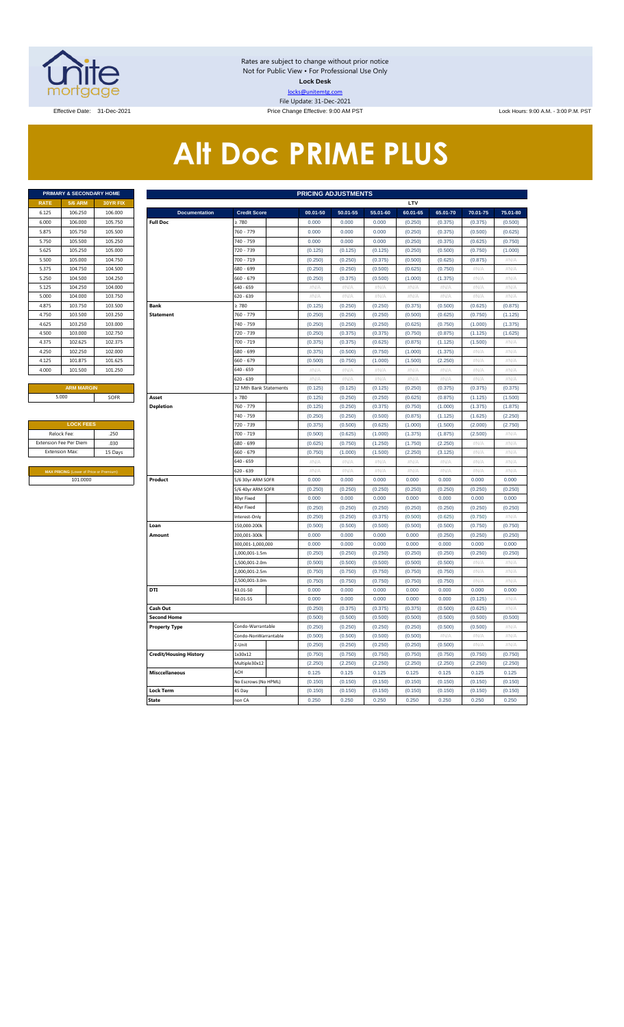

Rates are subject to change without prior notice Not for Public View • For Professional Use Only **Lock Desk** locks@unitemtg.com File Update: 31-Dec-2021

Effective Date: 31-Dec-2021 **Price Change Effective: 9:00 AM PST** Lock Hours: 9:00 A.M. - 3:00 P.M. PST

## **Alt Doc PRIME PLUS**

|             | <b>PRIMARY &amp; SECONDARY HOME</b> |                 |
|-------------|-------------------------------------|-----------------|
| <b>RATE</b> | <b>5/6 ARM</b>                      | <b>30YR FIX</b> |
| 6.125       | 106.250                             | 106,000         |
| 6.000       | 106,000                             | 105.750         |
| 5.875       | 105.750                             | 105.500         |
| 5.750       | 105.500                             | 105.250         |
| 5.625       | 105.250                             | 105.000         |
| 5.500       | 105,000                             | 104.750         |
| 5.375       | 104.750                             | 104.500         |
| 5.250       | 104.500                             | 104.250         |
| 5.125       | 104.250                             | 104.000         |
| 5.000       | 104.000                             | 103.750         |
| 4.875       | 103.750                             | 103.500         |
| 4.750       | 103,500                             | 103.250         |
| 4.625       | 103.250                             | 103,000         |
| 4.500       | 103,000                             | 102.750         |
| 4.375       | 102.625                             | 102.375         |
| 4.250       | 102.250                             | 102.000         |
| 4.125       | 101.875                             | 101.625         |
| 4.000       | 101.500                             | 101.250         |
|             |                                     |                 |

| <b>LOCK FEES</b>                               |         |
|------------------------------------------------|---------|
| Relock Fee:                                    | .250    |
| <b>Extension Fee Per Diem</b>                  | .030    |
| <b>Extension Max:</b>                          | 15 Days |
|                                                |         |
| <b>MAX PRICING (Lower of Price or Premium)</b> |         |
| 101.0000                                       |         |

|                       | PRIMARY & SECONDARY HOME                |          | <b>PRICING ADJUSTMENTS</b>    |                                 |                    |                    |                    |                           |                    |                    |                 |  |
|-----------------------|-----------------------------------------|----------|-------------------------------|---------------------------------|--------------------|--------------------|--------------------|---------------------------|--------------------|--------------------|-----------------|--|
| <b>RATE</b>           | <b>5/6 ARM</b>                          | 30YR FIX |                               |                                 |                    |                    |                    | LTV                       |                    |                    |                 |  |
| 6.125                 | 106.250                                 | 106.000  | <b>Documentation</b>          | <b>Credit Score</b>             | 00.01-50           | 50.01-55           | 55.01-60           | 60.01-65                  | 65.01-70           | 70.01-75           | 75.01-80        |  |
| 6.000                 | 106.000                                 | 105.750  | <b>Full Doc</b>               | 2780                            | 0.000              | 0.000              | 0.000              | (0.250)                   | (0.375)            | (0.375)            | (0.500)         |  |
| 5.875                 | 105.750                                 | 105.500  |                               | 760 - 779                       | 0.000              | 0.000              | 0.000              | (0.250)                   | (0.375)            | (0.500)            | (0.625)         |  |
| 5.750                 | 105.500                                 | 105.250  |                               | 740 - 759                       | 0.000              | 0.000              | 0.000              | (0.250)                   | (0.375)            | (0.625)            | (0.750)         |  |
| 5.625                 | 105.250                                 | 105.000  |                               | 720 - 739                       | (0.125)            | (0.125)            | (0.125)            | (0.250)                   | (0.500)            | (0.750)            | (1.000)         |  |
| 5.500                 | 105.000                                 | 104.750  |                               | 700 - 719                       | (0.250)            | (0.250)            | (0.375)            | (0.500)                   | (0.625)            | (0.875)            | #N/A            |  |
| 5.375                 | 104.750                                 | 104.500  |                               | 580 - 699                       | (0.250)            | (0.250)            | (0.500)            | (0.625)                   | (0.750)            | #N/A               | #N/A            |  |
| 5.250                 | 104.500                                 | 104.250  |                               | $660 - 679$                     | (0.250)            | (0.375)            | (0.500)            | (1.000)                   | (1.375)            | #N/A               | #N/A            |  |
| 5.125                 | 104.250                                 | 104.000  |                               | 640 - 659                       | $\#N/A$            | #N/A               | $\#N/A$            | $\#N/A$                   | $\#N/A$            | #N/A               | $\#N/A$         |  |
| 5.000                 | 104.000                                 | 103.750  |                               | 620 - 639                       | $\#N/A$            | #N/A               | #N/A               | #N/A                      | $\#N/A$            | #N/A               | #N/A            |  |
| 4.875                 | 103.750                                 | 103.500  | <b>Bank</b>                   | $\geq 780$                      | (0.125)            | (0.250)            | (0.250)            | (0.375)                   | (0.500)            | (0.625)            | (0.875)         |  |
| 4.750                 | 103.500                                 | 103.250  | <b>Statement</b>              | 760 - 779                       | (0.250)            | (0.250)            | (0.250)            | (0.500)                   | (0.625)            | (0.750)            | (1.125)         |  |
| 4.625                 | 103.250                                 | 103.000  |                               | 740 - 759                       | (0.250)            | (0.250)            | (0.250)            | (0.625)                   | (0.750)            | (1.000)            | (1.375)         |  |
| 4.500                 | 103.000                                 | 102.750  |                               | 720 - 739                       | (0.250)            | (0.375)            | (0.375)            | (0.750)                   | (0.875)            | (1.125)            | (1.625)         |  |
| 4.375                 | 102.625                                 | 102.375  |                               | 700 - 719                       | (0.375)            | (0.375)            | (0.625)            | (0.875)                   | (1.125)            | (1.500)            | #N/A            |  |
| 4.250                 | 102.250                                 | 102.000  |                               | 680 - 699                       | (0.375)            | (0.500)            | (0.750)            | (1.000)                   | (1.375)            | $\#\mathbb{N}/\!/$ | #N/A            |  |
| 4.125                 | 101.875                                 | 101.625  |                               | 660 - 679                       | (0.500)            | (0.750)            | (1.000)            | (1.500)                   | (2.250)            | #N/A               | $\#N/A$         |  |
| 4.000                 | 101.500                                 | 101.250  |                               | 640 - 659                       | #N/A               | #N/A               | $\#N/A$            | #N/A                      | #N/A               | #N/A               | $\#N/A$         |  |
|                       |                                         |          |                               | 520 - 639                       | $\#N/A$            | # $N/A$            | $\#N/A$            | $\#\mathsf{N}/\mathsf{A}$ | #N/A               | # $N/A$            | # $N/A$         |  |
|                       | <b>ARM MARGIN</b>                       |          |                               | 12 Mth Bank Statements          | (0.125)            | (0.125)            | (0.125)            | (0.250)                   | (0.375)            | (0.375)            | (0.375)         |  |
|                       | 5.000                                   | SOFR     | Asset                         | $\geq 780$                      | (0.125)            | (0.250)            | (0.250)            | (0.625)                   | (0.875)            | (1.125)            | (1.500)         |  |
|                       |                                         |          | <b>Depletion</b>              | 760 - 779                       | (0.125)            | (0.250)            | (0.375)            | (0.750)                   | (1.000)            | (1.375)            | (1.875)         |  |
|                       |                                         |          |                               | 740 - 759                       | (0.250)            | (0.250)            | (0.500)            | (0.875)                   | (1.125)            | (1.625)            | (2.250)         |  |
|                       | <b>LOCK FEES</b>                        |          |                               | 720 - 739                       | (0.375)            | (0.500)            | (0.625)            | (1.000)                   | (1.500)            | (2.000)            | (2.750)         |  |
| Relock Fee:           |                                         | .250     |                               | 700 - 719                       | (0.500)            | (0.625)            | (1.000)            | (1.375)                   | (1.875)            | (2.500)            | #N/A            |  |
|                       | xtension Fee Per Diem                   | .030     |                               | 680 - 699                       | (0.625)            | (0.750)            | (1.250)            | (1.750)                   | (2.250)            | #N/A               | #N/A            |  |
| <b>Extension Max:</b> |                                         | 15 Days  |                               | 660 - 679                       | (0.750)            | (1.000)            | (1.500)            | (2.250)                   | (3.125)            | #N/A               | #N/A            |  |
|                       |                                         |          |                               | 640 - 659                       | $\#N/A$            | # $N/A$            | $\#N/A$            | $\#\mathsf{N}/\mathsf{A}$ | #N/A               | # $N/A$            | #N/A            |  |
|                       | MAX PRICING (Lower of Price or Premium) |          |                               | 620 - 639                       | #N/A               | #N/A               | #N/A               | #N/A                      | #N/A               | #N/A               | #N/A            |  |
|                       | 101.0000                                |          | Product                       | 5/6 30yr ARM SOFR               | 0.000              | 0.000              | 0.000              | 0.000                     | 0.000              | 0.000              | 0.000           |  |
|                       |                                         |          |                               | 5/6 40yr ARM SOFR               | (0.250)            | (0.250)            | (0.250)            | (0.250)                   | (0.250)            | (0.250)            | (0.250)         |  |
|                       |                                         |          |                               | 30yr Fixed                      | 0.000              | 0.000              | 0.000              | 0.000                     | 0.000              | 0.000              | 0.000           |  |
|                       |                                         |          |                               | 40yr Fixed                      | (0.250)            | (0.250)            | (0.250)            | (0.250)                   | (0.250)            | (0.250)            | (0.250)         |  |
|                       |                                         |          |                               | Interest-Only                   | (0.250)            | (0.250)            | (0.375)            | (0.500)                   | (0.625)            | (0.750)            | $\#N/A$         |  |
|                       |                                         |          | Loan                          | 150,000-200k                    | (0.500)            | (0.500)            | (0.500)            | (0.500)                   | (0.500)            | (0.750)            | (0.750)         |  |
|                       |                                         |          | Amount                        | 200,001-300k                    | 0.000              | 0.000              | 0.000              | 0.000                     | (0.250)            | (0.250)            | (0.250)         |  |
|                       |                                         |          |                               | 300,001-1,000,000               | 0.000              | 0.000              | 0.000              | 0.000                     | 0.000              | 0.000              | 0.000           |  |
|                       |                                         |          |                               | 1,000,001-1.5m                  | (0.250)            | (0.250)            | (0.250)            | (0.250)                   | (0.250)            | (0.250)            | (0.250)         |  |
|                       |                                         |          |                               | ,500,001-2.0m<br>2,000,001-2.5m | (0.500)<br>(0.750) | (0.500)<br>(0.750) | (0.500)<br>(0.750) | (0.500)<br>(0.750)        | (0.500)<br>(0.750) | # $N/A$<br>#N/A    | #N/A<br>$\#N/A$ |  |
|                       |                                         |          |                               |                                 |                    |                    |                    |                           |                    |                    |                 |  |
|                       |                                         |          | DTI                           | 2,500,001-3.0m<br>43.01-50      | (0.750)<br>0.000   | (0.750)<br>0.000   | (0.750)<br>0.000   | (0.750)<br>0.000          | (0.750)<br>0.000   | #N/A<br>0.000      | #N/A<br>0.000   |  |
|                       |                                         |          |                               | 50.01-55                        | 0.000              | 0.000              | 0.000              | 0.000                     | 0.000              | (0.125)            | #N/A            |  |
|                       |                                         |          | Cash Out                      |                                 | (0.250)            | (0.375)            | (0.375)            | (0.375)                   | (0.500)            | (0.625)            | #N/A            |  |
|                       |                                         |          | <b>Second Home</b>            |                                 | (0.500)            | (0.500)            | (0.500)            | (0.500)                   | (0.500)            | (0.500)            | (0.500)         |  |
|                       |                                         |          | <b>Property Type</b>          | Condo-Warrantable               | (0.250)            | (0.250)            | (0.250)            | (0.250)                   | (0.500)            | (0.500)            | #N/A            |  |
|                       |                                         |          |                               | Condo-NonWarrantable            | (0.500)            | (0.500)            | (0.500)            | (0.500)                   | #N/A               | $\#N/F$            | #N/A            |  |
|                       |                                         |          |                               | 2-Unit                          | (0.250)            | (0.250)            | (0.250)            | (0.250)                   | (0.500)            | #N/A               | #N/A            |  |
|                       |                                         |          | <b>Credit/Housing History</b> | 1x30x12                         | (0.750)            | (0.750)            | (0.750)            | (0.750)                   | (0.750)            | (0.750)            | (0.750)         |  |
|                       |                                         |          |                               | Multiple30x12                   | (2.250)            | (2.250)            | (2.250)            | (2.250)                   | (2.250)            | (2.250)            | (2.250)         |  |
|                       |                                         |          | <b>Misccellaneous</b>         | ACH                             | 0.125              | 0.125              | 0.125              | 0.125                     | 0.125              | 0.125              | 0.125           |  |
|                       |                                         |          |                               | No Escrows (No HPML)            | (0.150)            | (0.150)            | (0.150)            | (0.150)                   | (0.150)            | (0.150)            | (0.150)         |  |
|                       |                                         |          | <b>Lock Term</b>              | 45 Day                          | (0.150)            | (0.150)            | (0.150)            | (0.150)                   | (0.150)            | (0.150)            | (0.150)         |  |
|                       |                                         |          | <b>State</b>                  | non CA                          | 0.250              | 0.250              | 0.250              | 0.250                     | 0.250              | 0.250              | 0.250           |  |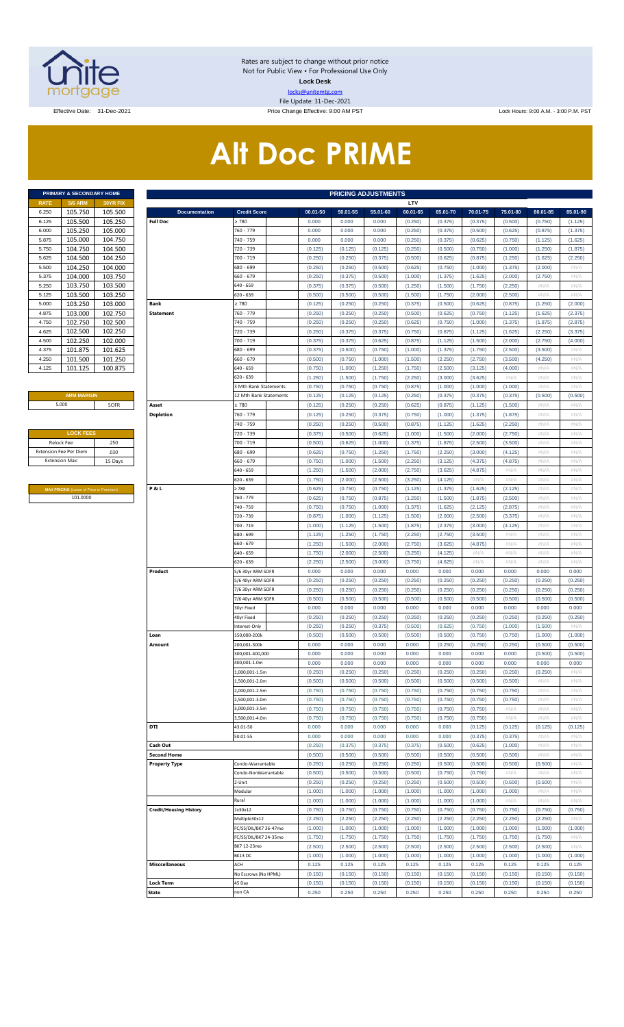

Rates are subject to change without prior notice Not for Public View • For Professional Use Only **Lock Desk** locks@unitemtg.com File Update: 31-Dec-2021

Effective Date: 31-Dec-2021 **Price Change Effective: 9:00 AM PST** Lock Hours: 9:00 A.M. - 3:00 P.M. PST

# **Alt Doc PRIME**

|             | <b>PRIMARY &amp; SECONDARY HOME</b> |                 |
|-------------|-------------------------------------|-----------------|
| <b>RATE</b> | <b>5/6 ARM</b>                      | <b>30YR FIX</b> |
| 6.250       | 105.750                             | 105.500         |
| 6.125       | 105.500                             | 105.250         |
| 6.000       | 105.250                             | 105.000         |
| 5.875       | 105.000                             | 104.750         |
| 5.750       | 104.750                             | 104.500         |
| 5.625       | 104.500                             | 104.250         |
| 5.500       | 104.250                             | 104.000         |
| 5.375       | 104.000                             | 103.750         |
| 5.250       | 103.750                             | 103.500         |
| 5.125       | 103.500                             | 103.250         |
| 5.000       | 103.250                             | 103.000         |
| 4.875       | 103.000                             | 102.750         |
| 4.750       | 102.750                             | 102.500         |
| 4.625       | 102.500                             | 102.250         |
| 4.500       | 102.250                             | 102.000         |
| 4.375       | 101.875                             | 101.625         |
| 4.250       | 101.500                             | 101.250         |
| 4.125       | 101.125                             | 100.875         |

#### **ARM MARGIN** 5.000

| <b>LOCK FEES</b>              |         |
|-------------------------------|---------|
| Relock Fee:                   | .250    |
| <b>Extension Fee Per Diem</b> | .030    |
| <b>Extension Max:</b>         | 15 Days |
|                               |         |

**MAX PRICING** (Lower of Price or Premium) 101.0000

|                       | PRIMARY & SECONDARY HOME                                   |                    | <b>PRICING ADJUSTMENTS</b>              |                                     |                    |                    |                    |                     |                     |                     |                     |                     |                     |
|-----------------------|------------------------------------------------------------|--------------------|-----------------------------------------|-------------------------------------|--------------------|--------------------|--------------------|---------------------|---------------------|---------------------|---------------------|---------------------|---------------------|
| RATE                  | <b>5/6 ARM</b>                                             | 30YR FIX           |                                         |                                     |                    |                    |                    | LTV                 |                     |                     |                     |                     |                     |
| 6.250<br>6.125        | 105.750<br>105.500                                         | 105.500<br>105.250 | <b>Documentation</b><br><b>Full Doc</b> | <b>Credit Score</b><br>2780         | 00.01-50<br>0.000  | 50.01-55<br>0.000  | 55.01-60<br>0.000  | 60.01-65<br>(0.250) | 65.01-70<br>(0.375) | 70.01-75<br>(0.375) | 75.01-80<br>(0.500) | 80.01-85<br>(0.750) | 85.01-90<br>(1.125) |
| 6.000                 | 105.250                                                    | 105.000            |                                         | 760 - 779                           | 0.000              | 0.000              | 0.000              | (0.250)             | (0.375)             | (0.500)             | (0.625)             | (0.875)             | (1.375)             |
| 5.875                 | 105.000                                                    | 104.750            |                                         | 740 - 759                           | 0.000              | 0.000              | 0.000              | (0.250)             | (0.375)             | (0.625)             | (0.750)             | (1.125)             | (1.625)             |
| 5.750                 | 104.750                                                    | 104.500            |                                         | 720 - 739                           | (0.125)            | (0.125)            | (0.125)            | (0.250)             | (0.500)             | (0.750)             | (1.000)             | (1.250)             | (1.875)             |
| 5.625                 | 104.500                                                    | 104.250            |                                         | 700 - 719                           | (0.250)            | (0.250)            | (0.375)            | (0.500)             | (0.625)             | (0.875)             | (1.250)             | (1.625)             | (2.250)             |
| 5.500                 | 104.250                                                    | 104.000            |                                         | 680 - 699                           | (0.250)            | (0.250)            | (0.500)            | (0.625)             | (0.750)             | (1.000)             | (1.375)             | (2.000)             | #N/A                |
| 5.375                 | 104.000                                                    | 103.750            |                                         | 660 - 679                           | (0.250)            | (0.375)            | (0.500)            | (1.000)             | (1.375)             | (1.625)             | (2.000)             | (2.750)             | #N/A                |
| 5.250                 | 103.750                                                    | 103.500            |                                         | 640 - 659                           | (0.375)            | (0.375)            | (0.500)            | (1.250)             | (1.500)             | (1.750)             | (2.250)             | $\#N/A$             | #N/A                |
| 5.125                 | 103.500                                                    | 103.250            |                                         | 620 - 639                           | (0.500)            | (0.500)            | (0.500)            | (1.500)             | (1.750)             | (2.000)             | (2.500)             | $\#N/A$             | #N/A                |
| 5.000                 | 103.250                                                    | 103.000            | Bank                                    | 2780                                | (0.125)            | (0.250)            | (0.250)            | (0.375)             | (0.500)             | (0.625)             | (0.875)             | (1.250)             | (2.000)             |
| 4.875                 | 103.000                                                    | 102.750            | <b>Statement</b>                        | 760 - 779                           | (0.250)            | (0.250)            | (0.250)            | (0.500)             | (0.625)             | (0.750)             | (1.125)             | (1.625)             | (2.375)             |
| 4.750                 | 102.750                                                    | 102.500            |                                         | 740 - 759                           | (0.250)            | (0.250)            | (0.250)            | (0.625)             | (0.750)             | (1.000)             | (1.375)             | (1.875)             | (2.875)             |
| 4.625<br>4.500        | 102.500<br>102.250                                         | 102.250<br>102.000 |                                         | 720 - 739<br>700 - 719              | (0.250)<br>(0.375) | (0.375)<br>(0.375) | (0.375)<br>(0.625) | (0.750)<br>(0.875)  | (0.875)<br>(1.125)  | (1.125)<br>(1.500)  | (1.625)<br>(2.000)  | (2.250)<br>(2.750)  | (3.375)<br>(4.000)  |
| 4.375                 | 101.875                                                    | 101.625            |                                         | 680 - 699                           | (0.375)            | (0.500)            | (0.750)            | (1.000)             | (1.375)             | (1.750)             | (2.500)             | (3.500)             | #N/A                |
| 4.250                 | 101.500                                                    | 101.250            |                                         | 660 - 679                           | (0.500)            | (0.750)            | (1.000)            | (1.500)             | (2.250)             | (2.750)             | (3.500)             | (4.250)             | #N/A                |
| 4.125                 | 101.125                                                    | 100.875            |                                         | 640 - 659                           | (0.750)            | (1.000)            | (1.250)            | (1.750)             | (2.500)             | (3.125)             | (4.000)             | #N/A                | #N/A                |
|                       |                                                            |                    |                                         | 620 - 639                           | (1.250)            | (1.500)            | (1.750)            | (2.250)             | (3.000)             | (3.625)             | #N/A                | $\#N/A$             | #N/A                |
|                       |                                                            |                    |                                         | 3 Mth Bank Statements               | (0.750)            | (0.750)            | (0.750)            | (0.875)             | (1.000)             | (1.000)             | (1.000)             | $\#N/A$             | #N/A                |
|                       | <b>ARM MARGIN</b>                                          |                    |                                         | 12 Mth Bank Statements              | (0.125)            | (0.125)            | (0.125)            | (0.250)             | (0.375)             | (0.375)             | (0.375)             | (0.500)             | (0.500)             |
|                       | 5.000                                                      | SOFR               | Asset                                   | 2780                                | (0.125)            | (0.250)            | (0.250)            | (0.625)             | (0.875)             | (1.125)             | (1.500)             | #N/A                | #N/A                |
|                       |                                                            |                    | <b>Depletion</b>                        | 760 - 779                           | (0.125)            | (0.250)            | (0.375)            | (0.750)             | (1.000)             | (1.375)             | (1.875)             | #N/A                | #N/A                |
|                       |                                                            |                    |                                         | 740 - 759                           | (0.250)            | (0.250)            | (0.500)            | (0.875)             | (1.125)             | (1.625)             | (2.250)             | #N/A                | #N/A                |
|                       | <b>LOCK FEES</b>                                           |                    |                                         | 720 - 739                           | (0.375)            | (0.500)            | (0.625)            | (1.000)             | (1.500)             | (2.000)             | (2.750)             | #N/A                | #N/A                |
| Relock Fee:           |                                                            | .250               |                                         | 700 - 719                           | (0.500)            | (0.625)            | (1.000)            | (1.375)             | (1.875)             | (2.500)             | (3.500)             | #N/A                | #N/A                |
|                       | xtension Fee Per Diem                                      | .030               |                                         | 680 - 699                           | (0.625)            | (0.750)            | (1.250)            | (1.750)             | (2.250)             | (3.000)             | (4.125)             | #N/A                | #N/A                |
| <b>Extension Max:</b> |                                                            | 15 Days            |                                         | 660 - 679                           | (0.750)            | (1.000)            | (1.500)            | (2.250)             | (3.125)             | (4.375)             | (4.875)             | #N/A                | #N/A                |
|                       |                                                            |                    |                                         | 640 - 659<br>620 - 639              | (1.250)            | (1.500)<br>(2.000) | (2.000)<br>(2.500) | (2.750)<br>(3.250)  | (3.625)             | (4.875)<br>#N/A     | #N/A<br>#N/A        | #N/A<br>#N/A        | #N/A<br>#N/A        |
|                       |                                                            |                    | P&L                                     | 2780                                | (1.750)<br>(0.625) | (0.750)            | (0.750)            | (1.125)             | (4.125)<br>(1.375)  | (1.625)             | (2.125)             | #N/A                | #N/A                |
|                       | <b>MAX PRICING</b> (Lower of Price or Premium)<br>101.0000 |                    |                                         | 760 - 779                           | (0.625)            | (0.750)            | (0.875)            | (1.250)             | (1.500)             | (1.875)             | (2.500)             | #N/A                | #N/A                |
|                       |                                                            |                    |                                         | 740 - 759                           | (0.750)            | (0.750)            | (1.000)            | (1.375)             | (1.625)             | (2.125)             | (2.875)             | #N/A                | #N/A                |
|                       |                                                            |                    |                                         | 720 - 739                           | (0.875)            | (1.000)            | (1.125)            | (1.500)             | (2.000)             | (2.500)             | (3.375)             | #N/A                | #N/A                |
|                       |                                                            |                    |                                         | 700 - 719                           | (1.000)            | (1.125)            | (1.500)            | (1.875)             | (2.375)             | (3.000)             | (4.125)             | #N/A                | #N/A                |
|                       |                                                            |                    |                                         | 680 - 699                           | (1.125)            | (1.250)            | (1.750)            | (2.250)             | (2.750)             | (3.500)             | #N/A                | #N/A                | #N/A                |
|                       |                                                            |                    |                                         | 660 - 679                           | (1.250)            | (1.500)            | (2.000)            | (2.750)             | (3.625)             | (4.875)             | #N/A                | #N/A                | #N/A                |
|                       |                                                            |                    |                                         | 640 - 659                           | (1.750)            | (2.000)            | (2.500)            | (3.250)             | (4.125)             | #N/A                | #N/A                | #N/A                | #N/A                |
|                       |                                                            |                    |                                         | 620 - 639                           | (2.250)            | (2.500)            | (3.000)            | (3.750)             | (4.625)             | #N/A                | #N/A                | #N/A                | #N/A                |
|                       |                                                            |                    | Product                                 | 5/6 30yr ARM SOFR                   | 0.000              | 0.000              | 0.000              | 0.000               | 0.000               | 0.000               | 0.000               | 0.000               | 0.000               |
|                       |                                                            |                    |                                         | 5/6 40yr ARM SOFR                   | (0.250)            | (0.250)            | (0.250)            | (0.250)             | (0.250)             | (0.250)             | (0.250)             | (0.250)             | (0.250)             |
|                       |                                                            |                    |                                         | 7/6 30yr ARM SOFR                   | (0.250)            | (0.250)            | (0.250)            | (0.250)             | (0.250)             | (0.250)             | (0.250)             | (0.250)             | (0.250)             |
|                       |                                                            |                    |                                         | 7/6 40yr ARM SOFR<br>30yr Fixed     | (0.500)<br>0.000   | (0.500)<br>0.000   | (0.500)<br>0.000   | (0.500)<br>0.000    | (0.500)<br>0.000    | (0.500)<br>0.000    | (0.500)<br>0.000    | (0.500)<br>0.000    | (0.500)<br>0.000    |
|                       |                                                            |                    |                                         | 40yr Fixed                          | (0.250)            | (0.250)            | (0.250)            | (0.250)             | (0.250)             | (0.250)             | (0.250)             | (0.250)             | (0.250)             |
|                       |                                                            |                    |                                         | nterest-Only                        | (0.250)            | (0.250)            | (0.375)            | (0.500)             | (0.625)             | (0.750)             | (1.000)             | (1.500)             | #N/A                |
|                       |                                                            |                    | Loan                                    | 150.000-200k                        | (0.500)            | (0.500)            | (0.500)            | (0.500)             | (0.500)             | (0.750)             | (0.750)             | (1.000)             | (1.000)             |
|                       |                                                            |                    | Amount                                  | 200,001-300k                        | 0.000              | 0.000              | 0.000              | 0.000               | (0.250)             | (0.250)             | (0.250)             | (0.500)             | (0.500)             |
|                       |                                                            |                    |                                         | 300,001-400,000                     | 0.000              | 0.000              | 0.000              | 0.000               | 0.000               | 0.000               | 0.000               | (0.500)             | (0.500)             |
|                       |                                                            |                    |                                         | 400,001-1.0m                        | 0.000              | 0.000              | 0.000              | 0.000               | 0.000               | 0.000               | 0.000               | 0.000               | 0.000               |
|                       |                                                            |                    |                                         | ,000,001-1.5m                       | (0.250)            | (0.250)            | (0.250)            | (0.250)             | (0.250)             | (0.250)             | (0.250)             | (0.250)             | #N/A                |
|                       |                                                            |                    |                                         | ,500,001-2.0m                       | (0.500)            | (0.500)            | (0.500)            | (0.500)             | (0.500)             | (0.500)             | (0.500)             | #N/A                | #N/A                |
|                       |                                                            |                    |                                         | ,000,001-2.5m                       | (0.750)            | (0.750)            | (0.750)            | (0.750)             | (0.750)             | (0.750)             | (0.750)             | #N/A                | #N/A                |
|                       |                                                            |                    |                                         | ,500,001-3.0m                       | (0.750)            | (0.750)            | (0.750)            | (0.750)             | (0.750)             | (0.750)             | (0.750)             | #N/A                | #N/A                |
|                       |                                                            |                    |                                         | ,000,001-3.5m                       | (0.750)            | (0.750)            | (0.750)            | (0.750)             | (0.750)             | (0.750)             | #N/A                | #N/A                | #N/A                |
|                       |                                                            |                    | <b>DTI</b>                              | ,500,001-4.0m<br>13.01-50           | (0.750)<br>0.000   | (0.750)<br>0.000   | (0.750)<br>0.000   | (0.750)<br>0.000    | (0.750)             | (0.750)             | $\#N/A$             | #N/A                | #N/A                |
|                       |                                                            |                    |                                         | 50.01-55                            | 0.000              | 0.000              | 0.000              | 0.000               | 0.000<br>0.000      | (0.125)<br>(0.375)  | (0.125)<br>(0.375)  | (0.125)<br>#N/A     | (0.125)<br>#N/A     |
|                       |                                                            |                    | Cash Out                                |                                     | (0.250)            | (0.375)            | (0.375)            | (0.375)             | (0.500)             | (0.625)             | (1.000)             | #N/A                | #N/A                |
|                       |                                                            |                    | <b>Second Home</b>                      |                                     | (0.500)            | (0.500)            | (0.500)            | (0.500)             | (0.500)             | (0.500)             | (0.500)             | #N/A                | #N/A                |
|                       |                                                            |                    | <b>Property Type</b>                    | Condo-Warrantable                   | (0.250)            | (0.250)            | (0.250)            | (0.250)             | (0.500)             | (0.500)             | (0.500)             | (0.500)             | #N/A                |
|                       |                                                            |                    |                                         | Condo-NonWarrantable                | (0.500)            | (0.500)            | (0.500)            | (0.500)             | (0.750)             | (0.750)             | $\#N/A$             | #N/A                | #N/A                |
|                       |                                                            |                    |                                         | 2-Unit                              | (0.250)            | (0.250)            | (0.250)            | (0.250)             | (0.500)             | (0.500)             | (0.500)             | (0.500)             | #N/A                |
|                       |                                                            |                    |                                         | Modular                             | (1.000)            | (1.000)            | (1.000)            | (1.000)             | (1.000)             | (1.000)             | (1.000)             | #N/A                | #N/A                |
|                       |                                                            |                    |                                         | Rural                               | (1.000)            | (1.000)            | (1.000)            | (1.000)             | (1.000)             | (1.000)             | #N/A                | #N/A                | #N/A                |
|                       |                                                            |                    | <b>Credit/Housing History</b>           | 1x30x12                             | (0.750)            | (0.750)            | (0.750)            | (0.750)             | (0.750)             | (0.750)             | (0.750)             | (0.750)             | (0.750)             |
|                       |                                                            |                    |                                         | Multiple30x12                       | (2.250)            | (2.250)            | (2.250)            | (2.250)             | (2.250)             | (2.250)             | (2.250)             | (2.250)             | #N/A                |
|                       |                                                            |                    |                                         | C/SS/DIL/BK7 36-47mo                | (1.000)            | (1.000)            | (1.000)            | (1.000)             | (1.000)             | (1.000)             | (1.000)             | (1.000)             | (1.000)             |
|                       |                                                            |                    |                                         | C/SS/DIL/BK7 24-35mo<br>BK7 12-23mo | (1.750)<br>(2.500) | (1.750)<br>(2.500) | (1.750)<br>(2.500) | (1.750)<br>(2.500)  | (1.750)<br>(2.500)  | (1.750)<br>(2.500)  | (1.750)<br>(2.500)  | (1.750)<br>(2.500)  | #N/A<br>#N/A        |
|                       |                                                            |                    |                                         | 3K13 DC                             | (1.000)            | (1.000)            | (1.000)            | (1.000)             | (1.000)             | (1.000)             | (1.000)             | (1.000)             | (1.000)             |
|                       |                                                            |                    | <b>Misccellaneous</b>                   | ACH                                 | 0.125              | 0.125              | 0.125              | 0.125               | 0.125               | 0.125               | 0.125               | 0.125               | 0.125               |
|                       |                                                            |                    |                                         | No Escrows (No HPML)                | (0.150)            | (0.150)            | (0.150)            | (0.150)             | (0.150)             | (0.150)             | (0.150)             | (0.150)             | (0.150)             |
|                       |                                                            |                    | <b>Lock Term</b>                        | 45 Day                              | (0.150)            | (0.150)            | (0.150)            | (0.150)             | (0.150)             | (0.150)             | (0.150)             | (0.150)             | (0.150)             |
|                       |                                                            |                    | State                                   | on CA                               | 0.250              | 0.250              | 0.250              | 0.250               | 0.250               | 0.250               | 0.250               | 0.250               | 0.250               |
|                       |                                                            |                    |                                         |                                     |                    |                    |                    |                     |                     |                     |                     |                     |                     |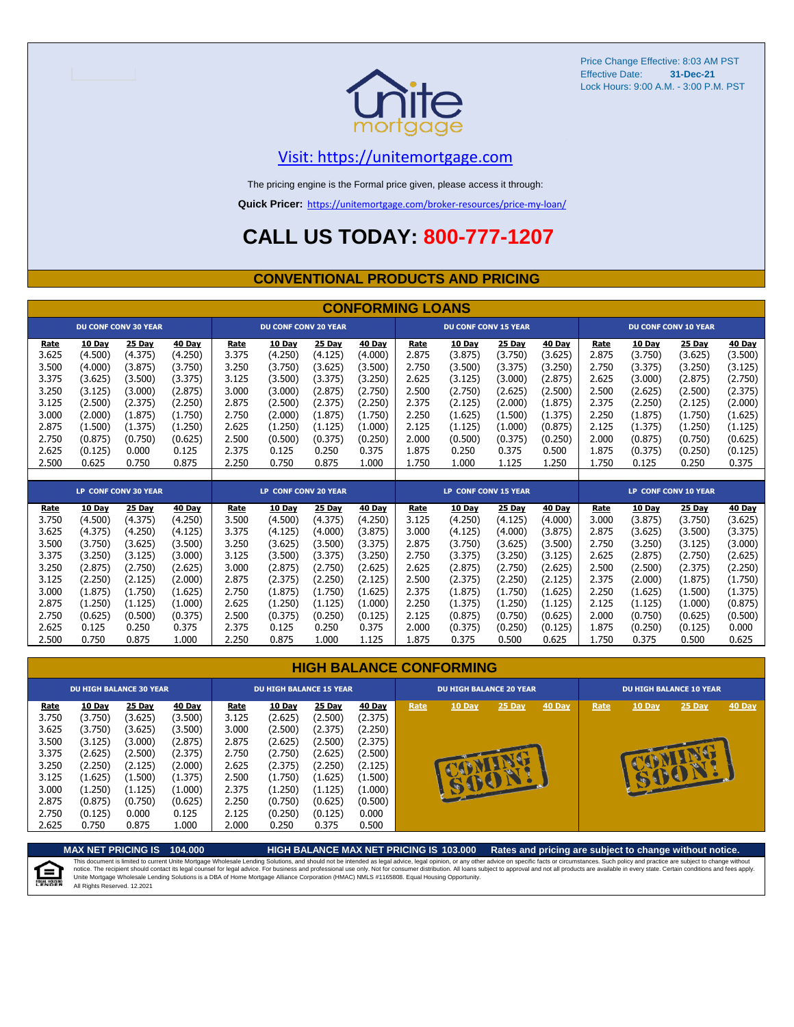

#### [V](https://unitemortgage.com/)isit: https://unitemortgage.com

The pricing engine is the Formal price given, please access it through:

**Quick Pricer:** [https://un](https://unitemortgage.com/broker-resources/price-my-loan/)itemortgage.com/broker-resources/price-my-loan/

### **CALL US TODAY: 800-777-1207**

#### **CONVENTIONAL PRODUCTS AND PRICING**

|                                                                                                         |                                                                                                                             |                                                                                                                             |                                                                                                                             |                                                                                                         |                                                                                                                                    |                                                                                                                             | <b>CONFORMING LOANS</b>                                                                                                            |                                                                                                         |                                                                                                                               |                                                                                                                               |                                                                                                                               |                                                                                                         |                                                                                                                               |                                                                                                                               |                                                                                                                             |
|---------------------------------------------------------------------------------------------------------|-----------------------------------------------------------------------------------------------------------------------------|-----------------------------------------------------------------------------------------------------------------------------|-----------------------------------------------------------------------------------------------------------------------------|---------------------------------------------------------------------------------------------------------|------------------------------------------------------------------------------------------------------------------------------------|-----------------------------------------------------------------------------------------------------------------------------|------------------------------------------------------------------------------------------------------------------------------------|---------------------------------------------------------------------------------------------------------|-------------------------------------------------------------------------------------------------------------------------------|-------------------------------------------------------------------------------------------------------------------------------|-------------------------------------------------------------------------------------------------------------------------------|---------------------------------------------------------------------------------------------------------|-------------------------------------------------------------------------------------------------------------------------------|-------------------------------------------------------------------------------------------------------------------------------|-----------------------------------------------------------------------------------------------------------------------------|
|                                                                                                         |                                                                                                                             | <b>DU CONF CONV 30 YEAR</b>                                                                                                 |                                                                                                                             |                                                                                                         | <b>DU CONF CONV 20 YEAR</b>                                                                                                        |                                                                                                                             |                                                                                                                                    |                                                                                                         | <b>DU CONF CONV 15 YEAR</b>                                                                                                   |                                                                                                                               |                                                                                                                               |                                                                                                         |                                                                                                                               | <b>DU CONF CONV 10 YEAR</b>                                                                                                   |                                                                                                                             |
| Rate<br>3.625<br>3.500<br>3.375<br>3.250<br>3.125<br>3.000<br>2.875<br>2.750<br>2.625                   | 10 Day<br>(4.500)<br>(4.000)<br>(3.625)<br>(3.125)<br>(2.500)<br>(2.000)<br>(1.500)<br>(0.875)<br>(0.125)                   | 25 Day<br>(4.375)<br>(3.875)<br>(3.500)<br>(3.000)<br>(2.375)<br>(1.875)<br>(1.375)<br>(0.750)<br>0.000                     | 40 Day<br>(4.250)<br>(3.750)<br>(3.375)<br>(2.875)<br>(2.250)<br>(1.750)<br>(1.250)<br>(0.625)<br>0.125                     | Rate<br>3.375<br>3.250<br>3.125<br>3.000<br>2.875<br>2.750<br>2.625<br>2.500<br>2.375                   | 10 Day<br>(4.250)<br>(3.750)<br>(3.500)<br>(3.000)<br>(2.500)<br>(2.000)<br>(1.250)<br>(0.500)<br>0.125                            | 25 Day<br>(4.125)<br>(3.625)<br>(3.375)<br>(2.875)<br>(2.375)<br>(1.875)<br>(1.125)<br>(0.375)<br>0.250                     | 40 Day<br>(4.000)<br>(3.500)<br>(3.250)<br>(2.750)<br>(2.250)<br>(1.750)<br>(1.000)<br>(0.250)<br>0.375                            | Rate<br>2.875<br>2.750<br>2.625<br>2.500<br>2.375<br>2.250<br>2.125<br>2.000<br>1.875                   | 10 Day<br>(3.875)<br>(3.500)<br>(3.125)<br>(2.750)<br>(2.125)<br>(1.625)<br>(1.125)<br>(0.500)<br>0.250                       | 25 Day<br>(3.750)<br>(3.375)<br>(3.000)<br>(2.625)<br>(2.000)<br>(1.500)<br>(1.000)<br>(0.375)<br>0.375                       | 40 Day<br>(3.625)<br>(3.250)<br>(2.875)<br>(2.500)<br>(1.875)<br>(1.375)<br>(0.875)<br>(0.250)<br>0.500                       | Rate<br>2.875<br>2.750<br>2.625<br>2.500<br>2.375<br>2.250<br>2.125<br>2.000<br>1.875                   | 10 Day<br>(3.750)<br>(3.375)<br>(3.000)<br>(2.625)<br>(2.250)<br>(1.875)<br>(1.375)<br>(0.875)<br>(0.375)                     | 25 Day<br>(3.625)<br>(3.250)<br>(2.875)<br>(2.500)<br>(2.125)<br>(1.750)<br>(1.250)<br>(0.750)<br>(0.250)                     | 40 Day<br>(3.500)<br>(3.125)<br>(2.750)<br>(2.375)<br>(2.000)<br>(1.625)<br>(1.125)<br>(0.625)<br>(0.125)                   |
| 2.500                                                                                                   | 0.625                                                                                                                       | 0.750                                                                                                                       | 0.875                                                                                                                       | 2.250                                                                                                   | 0.750                                                                                                                              | 0.875                                                                                                                       | 1.000                                                                                                                              | 1.750                                                                                                   | 1.000                                                                                                                         | 1.125                                                                                                                         | 1.250                                                                                                                         | 1.750                                                                                                   | 0.125                                                                                                                         | 0.250                                                                                                                         | 0.375                                                                                                                       |
|                                                                                                         |                                                                                                                             | LP CONF CONV 30 YEAR                                                                                                        |                                                                                                                             |                                                                                                         | LP CONF CONV 20 YEAR                                                                                                               |                                                                                                                             |                                                                                                                                    |                                                                                                         | <b>LP CONF CONV 15 YEAR</b>                                                                                                   |                                                                                                                               |                                                                                                                               |                                                                                                         |                                                                                                                               | <b>LP CONF CONV 10 YEAR</b>                                                                                                   |                                                                                                                             |
| Rate<br>3.750<br>3.625<br>3.500<br>3.375<br>3.250<br>3.125<br>3.000<br>2.875<br>2.750<br>2.625<br>2.500 | 10 Day<br>(4.500)<br>(4.375)<br>(3.750)<br>(3.250)<br>(2.875)<br>(2.250)<br>(1.875)<br>(1.250)<br>(0.625)<br>0.125<br>0.750 | 25 Day<br>(4.375)<br>(4.250)<br>(3.625)<br>(3.125)<br>(2.750)<br>(2.125)<br>(1.750)<br>(1.125)<br>(0.500)<br>0.250<br>0.875 | 40 Day<br>(4.250)<br>(4.125)<br>(3.500)<br>(3.000)<br>(2.625)<br>(2.000)<br>(1.625)<br>(1.000)<br>(0.375)<br>0.375<br>1.000 | Rate<br>3.500<br>3.375<br>3.250<br>3.125<br>3.000<br>2.875<br>2.750<br>2.625<br>2.500<br>2.375<br>2.250 | <b>10 Day</b><br>(4.500)<br>(4.125)<br>(3.625)<br>(3.500)<br>(2.875)<br>(2.375)<br>(1.875)<br>(1.250)<br>(0.375)<br>0.125<br>0.875 | 25 Day<br>(4.375)<br>(4.000)<br>(3.500)<br>(3.375)<br>(2.750)<br>(2.250)<br>(1.750)<br>(1.125)<br>(0.250)<br>0.250<br>1.000 | <b>40 Day</b><br>(4.250)<br>(3.875)<br>(3.375)<br>(3.250)<br>(2.625)<br>(2.125)<br>(1.625)<br>(1.000)<br>(0.125)<br>0.375<br>1.125 | Rate<br>3.125<br>3.000<br>2.875<br>2.750<br>2.625<br>2.500<br>2.375<br>2.250<br>2.125<br>2.000<br>1.875 | 10 Day<br>(4.250)<br>(4.125)<br>(3.750)<br>(3.375)<br>(2.875)<br>(2.375)<br>(1.875)<br>(1.375)<br>(0.875)<br>(0.375)<br>0.375 | 25 Day<br>(4.125)<br>(4.000)<br>(3.625)<br>(3.250)<br>(2.750)<br>(2.250)<br>(1.750)<br>(1.250)<br>(0.750)<br>(0.250)<br>0.500 | 40 Day<br>(4.000)<br>(3.875)<br>(3.500)<br>(3.125)<br>(2.625)<br>(2.125)<br>(1.625)<br>(1.125)<br>(0.625)<br>(0.125)<br>0.625 | Rate<br>3.000<br>2.875<br>2.750<br>2.625<br>2.500<br>2.375<br>2.250<br>2.125<br>2.000<br>1.875<br>1.750 | 10 Day<br>(3.875)<br>(3.625)<br>(3.250)<br>(2.875)<br>(2.500)<br>(2.000)<br>(1.625)<br>(1.125)<br>(0.750)<br>(0.250)<br>0.375 | 25 Day<br>(3.750)<br>(3.500)<br>(3.125)<br>(2.750)<br>(2.375)<br>(1.875)<br>(1.500)<br>(1.000)<br>(0.625)<br>(0.125)<br>0.500 | 40 Day<br>(3.625)<br>(3.375)<br>(3.000)<br>(2.625)<br>(2.250)<br>(1.750)<br>(1.375)<br>(0.875)<br>(0.500)<br>0.000<br>0.625 |

|                                                                                                | <b>HIGH BALANCE CONFORMING</b>                                                                                            |                                                                                                                  |                                                                                                                         |                                                                                                |                                                                                                                           |                                                                                                                      |                                                                                                                         |      |                                |        |               |                                |        |                           |               |  |
|------------------------------------------------------------------------------------------------|---------------------------------------------------------------------------------------------------------------------------|------------------------------------------------------------------------------------------------------------------|-------------------------------------------------------------------------------------------------------------------------|------------------------------------------------------------------------------------------------|---------------------------------------------------------------------------------------------------------------------------|----------------------------------------------------------------------------------------------------------------------|-------------------------------------------------------------------------------------------------------------------------|------|--------------------------------|--------|---------------|--------------------------------|--------|---------------------------|---------------|--|
|                                                                                                | <b>DU HIGH BALANCE 30 YEAR</b>                                                                                            |                                                                                                                  |                                                                                                                         |                                                                                                | <b>DU HIGH BALANCE 15 YEAR</b>                                                                                            |                                                                                                                      |                                                                                                                         |      | <b>DU HIGH BALANCE 20 YEAR</b> |        |               | <b>DU HIGH BALANCE 10 YEAR</b> |        |                           |               |  |
| Rate<br>3.750<br>3.625<br>3.500<br>3.375<br>3.250<br>3.125<br>3.000<br>2.875<br>2.750<br>2.625 | <b>10 Day</b><br>(3.750)<br>(3.750)<br>(3.125)<br>(2.625)<br>(2.250)<br>(1.625)<br>(1.250)<br>(0.875)<br>(0.125)<br>0.750 | 25 Day<br>(3.625)<br>(3.625)<br>(3.000)<br>(2.500)<br>(2.125)<br>(1.500)<br>(1.125)<br>(0.750)<br>0.000<br>0.875 | <b>40 Day</b><br>(3.500)<br>(3.500)<br>(2.875)<br>(2.375)<br>(2.000)<br>(1.375)<br>(1.000)<br>(0.625)<br>0.125<br>1.000 | Rate<br>3.125<br>3.000<br>2.875<br>2.750<br>2.625<br>2.500<br>2.375<br>2.250<br>2.125<br>2.000 | <b>10 Day</b><br>(2.625)<br>(2.500)<br>(2.625)<br>(2.750)<br>(2.375)<br>(1.750)<br>(1.250)<br>(0.750)<br>(0.250)<br>0.250 | $25$ Day<br>(2.500)<br>(2.375)<br>(2.500)<br>(2.625)<br>(2.250)<br>(1.625)<br>(1.125)<br>(0.625)<br>(0.125)<br>0.375 | <b>40 Day</b><br>(2.375)<br>(2.250)<br>(2.375)<br>(2.500)<br>(2.125)<br>(1.500)<br>(1.000)<br>(0.500)<br>0.000<br>0.500 | Rate | 10 Day<br>BIRTH                | 25 Day | <b>40 Day</b> | Rate                           | 10 Day | $25$ Day<br><b>RUELLE</b> | <b>40 Day</b> |  |

**MAX NET PRICING IS 104.000 HIGH BALANCE MAX NET PRICING IS 103.000 Rates and pricing are subject to change without notice.** This document is limited to current Unite Mortgage Wholesale Lending Solutions, and should not be intended as legal advice, legal opinion, or any other advice on specific facts or circumstances. Such policy and practice ar 自 All Rights Reserved. 12.2021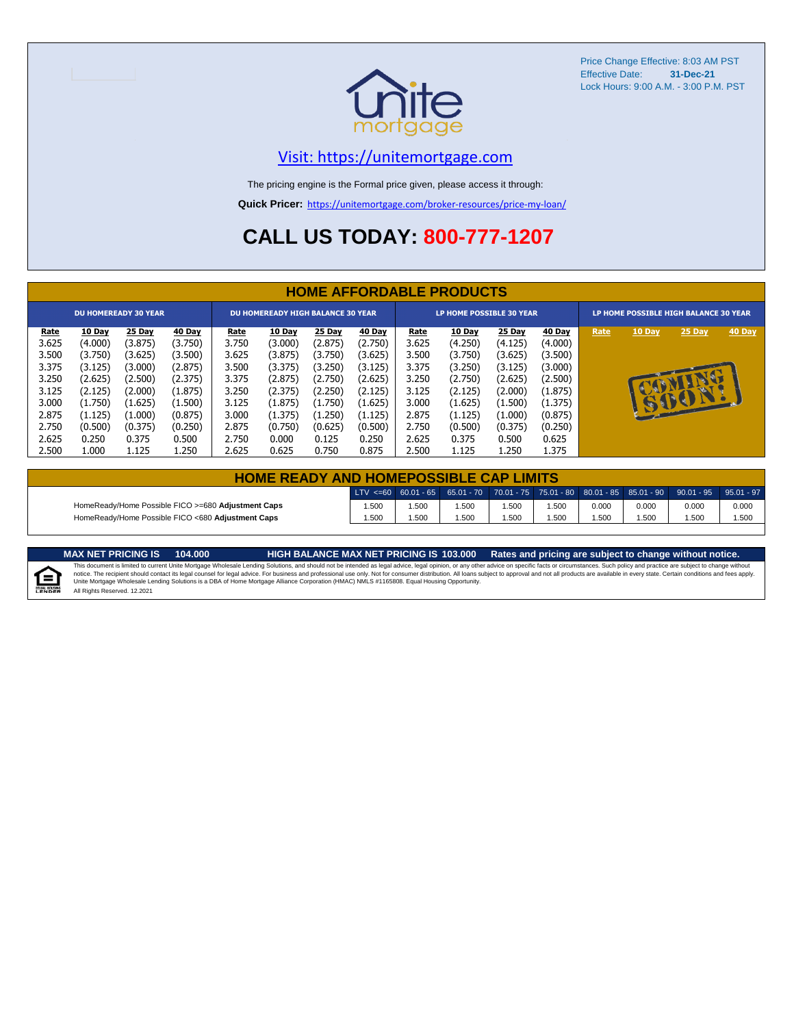

#### [V](https://unitemortgage.com/)isit: https://unitemortgage.com

The pricing engine is the Formal price given, please access it through:

**Quick Pricer:** [https://un](https://unitemortgage.com/broker-resources/price-my-loan/)itemortgage.com/broker-resources/price-my-loan/

### **CALL US TODAY: 800-777-1207**

|             | <b>HOME AFFORDABLE PRODUCTS</b> |                             |         |             |                                          |         |         |             |                                 |         |         |                                       |          |        |        |
|-------------|---------------------------------|-----------------------------|---------|-------------|------------------------------------------|---------|---------|-------------|---------------------------------|---------|---------|---------------------------------------|----------|--------|--------|
|             |                                 | <b>DU HOMEREADY 30 YEAR</b> |         |             | <b>DU HOMEREADY HIGH BALANCE 30 YEAR</b> |         |         |             | <b>LP HOME POSSIBLE 30 YEAR</b> |         |         | LP HOME POSSIBLE HIGH BALANCE 30 YEAR |          |        |        |
| <u>Rate</u> | 10 Day                          | 25 Day                      | 40 Day  | <u>Rate</u> | 10 Day                                   | 25 Day  | 40 Day  | <u>Rate</u> | 10 Day                          | 25 Day  | 40 Day  | Rate                                  | 10 Day   | 25 Day | 40 Day |
| 3.625       | (4.000)                         | (3.875)                     | (3.750) | 3.750       | (3.000)                                  | (2.875) | (2.750) | 3.625       | (4.250)                         | (4.125) | (4.000) |                                       |          |        |        |
| 3.500       | (3.750)                         | (3.625)                     | (3.500) | 3.625       | (3.875)                                  | (3.750) | (3.625) | 3.500       | (3.750)                         | (3.625) | (3.500) |                                       |          |        |        |
| 3.375       | (3.125)                         | (3.000)                     | (2.875) | 3.500       | (3.375)                                  | (3.250) | (3.125) | 3.375       | (3.250)                         | (3.125) | (3.000) |                                       |          |        |        |
| 3.250       | (2.625)                         | (2.500)                     | (2.375) | 3.375       | (2.875)                                  | (2.750) | (2.625) | 3.250       | (2.750)                         | (2.625) | (2.500) |                                       |          |        |        |
| 3.125       | (2.125)                         | (2.000)                     | (1.875) | 3.250       | (2.375)                                  | (2.250) | (2.125) | 3.125       | (2.125)                         | (2.000) | (1.875) |                                       |          |        |        |
| 3.000       | (1.750)                         | (1.625)                     | (1.500) | 3.125       | (1.875)                                  | (1.750) | (1.625) | 3.000       | (1.625)                         | (1.500) | (1.375) |                                       | <b>B</b> | BU     |        |
| 2.875       | (1.125)                         | (1.000)                     | (0.875) | 3.000       | (1.375)                                  | (1.250) | (1.125) | 2.875       | (1.125)                         | (1.000) | (0.875) |                                       |          |        |        |
| 2.750       | (0.500)                         | (0.375)                     | (0.250) | 2.875       | (0.750)                                  | (0.625) | (0.500) | 2.750       | (0.500)                         | (0.375) | (0.250) |                                       |          |        |        |
| 2.625       | 0.250                           | 0.375                       | 0.500   | 2.750       | 0.000                                    | 0.125   | 0.250   | 2.625       | 0.375                           | 0.500   | 0.625   |                                       |          |        |        |
| 2.500       | 1.000                           | 1.125                       | 1.250   | 2.625       | 0.625                                    | 0.750   | 0.875   | 2.500       | 1.125                           | 1.250   | 1.375   |                                       |          |        |        |

| <b>HOME READY AND HOMEPOSSIBLE CAP LIMITS</b>      |       |      |      |      |       |       |       |                                                                                                  |       |  |  |
|----------------------------------------------------|-------|------|------|------|-------|-------|-------|--------------------------------------------------------------------------------------------------|-------|--|--|
|                                                    |       |      |      |      |       |       |       | LTV <=60 60.01 - 65 65.01 - 70 70.01 - 75 75.01 - 80 80.01 - 85 85.01 - 90 90.01 - 95 95.01 - 97 |       |  |  |
| HomeReady/Home Possible FICO >=680 Adjustment Caps | .500  | .500 | .500 | .500 | 1.500 | 0.000 | 0.000 | 0.000                                                                                            | 0.000 |  |  |
| HomeReady/Home Possible FICO <680 Adjustment Caps  | 1.500 | .500 | .500 | .500 | .500  | .500  | 1.500 | .500                                                                                             | 1.500 |  |  |

E

MAX NET PRICING IS 103.000 Rates and pricing are subject to change without notice.<br>This document is limited to current Unite Mortgage Wholesale Lending Solutions, and should not be intended as legal advice, legal opinion, All Rights Reserved. 12.2021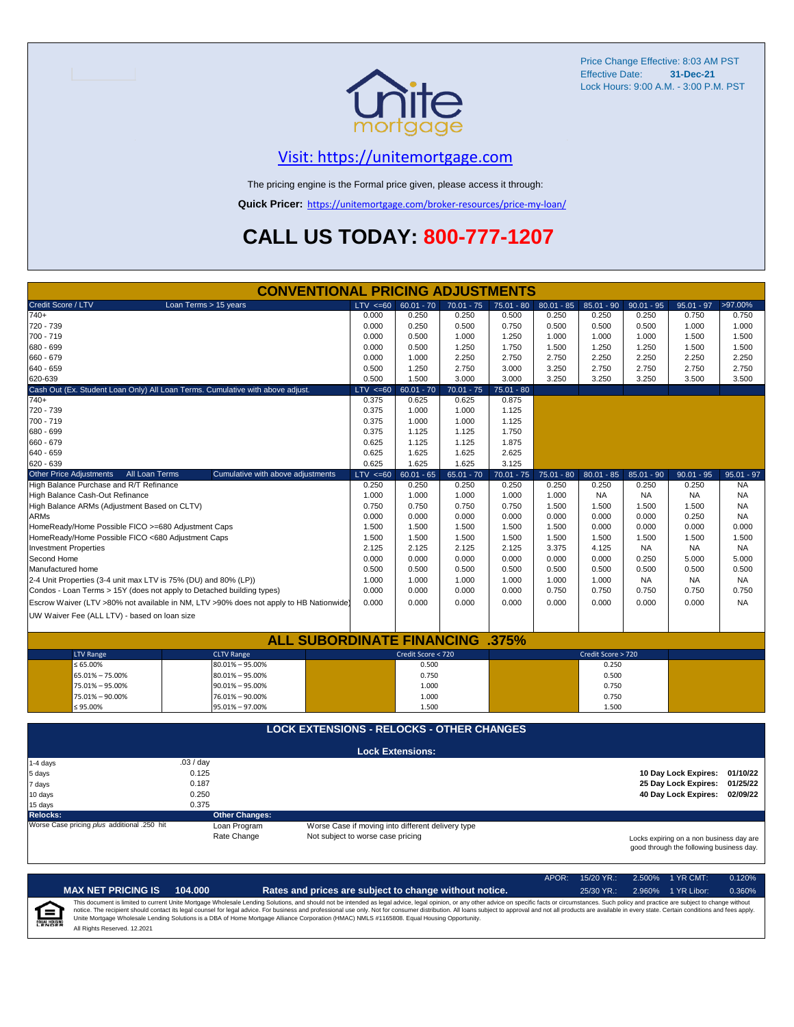

### [V](https://unitemortgage.com/)isit: https://unitemortgage.com

The pricing engine is the Formal price given, please access it through:

**Quick Pricer:** [https://un](https://unitemortgage.com/broker-resources/price-my-loan/)itemortgage.com/broker-resources/price-my-loan/

### **CALL US TODAY: 800-777-1207**

|                                                                       | <b>CONVENTIONAL PRICING ADJUSTMENTS</b>                                                |                                                   |                         |              |              |              |                    |              |                                          |              |
|-----------------------------------------------------------------------|----------------------------------------------------------------------------------------|---------------------------------------------------|-------------------------|--------------|--------------|--------------|--------------------|--------------|------------------------------------------|--------------|
| Credit Score / LTV                                                    | Loan Terms > 15 years                                                                  | $LTV \le 60$                                      | $60.01 - 70$            | $70.01 - 75$ | $75.01 - 80$ | $80.01 - 85$ | $85.01 - 90$       | $90.01 - 95$ | $95.01 - 97$                             | >97.00%      |
| $740+$                                                                |                                                                                        | 0.000                                             | 0.250                   | 0.250        | 0.500        | 0.250        | 0.250              | 0.250        | 0.750                                    | 0.750        |
| 720 - 739                                                             |                                                                                        | 0.000                                             | 0.250                   | 0.500        | 0.750        | 0.500        | 0.500              | 0.500        | 1.000                                    | 1.000        |
| 700 - 719                                                             |                                                                                        | 0.000                                             | 0.500                   | 1.000        | 1.250        | 1.000        | 1.000              | 1.000        | 1.500                                    | 1.500        |
| 680 - 699                                                             |                                                                                        | 0.000                                             | 0.500                   | 1.250        | 1.750        | 1.500        | 1.250              | 1.250        | 1.500                                    | 1.500        |
| 660 - 679                                                             |                                                                                        | 0.000                                             | 1.000                   | 2.250        | 2.750        | 2.750        | 2.250              | 2.250        | 2.250                                    | 2.250        |
| 640 - 659                                                             |                                                                                        | 0.500                                             | 1.250                   | 2.750        | 3.000        | 3.250        | 2.750              | 2.750        | 2.750                                    | 2.750        |
| 620-639                                                               |                                                                                        | 0.500                                             | 1.500                   | 3.000        | 3.000        | 3.250        | 3.250              | 3.250        | 3.500                                    | 3.500        |
|                                                                       | Cash Out (Ex. Student Loan Only) All Loan Terms. Cumulative with above adjust.         | $LTV \le 60$                                      | $60.01 - 70$            | $70.01 - 75$ | $75.01 - 80$ |              |                    |              |                                          |              |
| $740+$                                                                |                                                                                        | 0.375                                             | 0.625                   | 0.625        | 0.875        |              |                    |              |                                          |              |
| 720 - 739                                                             |                                                                                        | 0.375                                             | 1.000                   | 1.000        | 1.125        |              |                    |              |                                          |              |
| 700 - 719                                                             |                                                                                        | 0.375                                             | 1.000                   | 1.000        | 1.125        |              |                    |              |                                          |              |
| 680 - 699                                                             |                                                                                        | 0.375                                             | 1.125                   | 1.125        | 1.750        |              |                    |              |                                          |              |
| 660 - 679                                                             |                                                                                        | 0.625                                             | 1.125                   | 1.125        | 1.875        |              |                    |              |                                          |              |
| 640 - 659                                                             |                                                                                        | 0.625                                             | 1.625                   | 1.625        | 2.625        |              |                    |              |                                          |              |
| 620 - 639                                                             |                                                                                        | 0.625                                             | 1.625                   | 1.625        | 3.125        |              |                    |              |                                          |              |
| <b>Other Price Adjustments</b><br>All Loan Terms                      | Cumulative with above adjustments                                                      | $LTV \le 60$                                      | $60.01 - 65$            | $65.01 - 70$ | $70.01 - 75$ | $75.01 - 80$ | $80.01 - 85$       | $85.01 - 90$ | $90.01 - 95$                             | $95.01 - 97$ |
| High Balance Purchase and R/T Refinance                               |                                                                                        | 0.250                                             | 0.250                   | 0.250        | 0.250        | 0.250        | 0.250              | 0.250        | 0.250                                    | <b>NA</b>    |
| High Balance Cash-Out Refinance                                       |                                                                                        | 1.000                                             | 1.000                   | 1.000        | 1.000        | 1.000        | <b>NA</b>          | <b>NA</b>    | <b>NA</b>                                | <b>NA</b>    |
| High Balance ARMs (Adjustment Based on CLTV)                          |                                                                                        | 0.750                                             | 0.750                   | 0.750        | 0.750        | 1.500        | 1.500              | 1.500        | 1.500                                    | <b>NA</b>    |
| <b>ARMs</b>                                                           |                                                                                        | 0.000                                             | 0.000                   | 0.000        | 0.000        | 0.000        | 0.000              | 0.000        | 0.250                                    | <b>NA</b>    |
| HomeReady/Home Possible FICO >=680 Adjustment Caps                    |                                                                                        | 1.500                                             | 1.500                   | 1.500        | 1.500        | 1.500        | 0.000              | 0.000        | 0.000                                    | 0.000        |
| HomeReady/Home Possible FICO <680 Adjustment Caps                     |                                                                                        | 1.500                                             | 1.500                   | 1.500        | 1.500        | 1.500        | 1.500              | 1.500        | 1.500                                    | 1.500        |
| <b>Investment Properties</b>                                          | 2.125                                                                                  | 2.125                                             | 2.125                   | 2.125        | 3.375        | 4.125        | <b>NA</b>          | <b>NA</b>    | <b>NA</b>                                |              |
| Second Home                                                           |                                                                                        | 0.000                                             | 0.000                   | 0.000        | 0.000        | 0.000        | 0.000              | 0.250        | 5.000                                    | 5.000        |
| Manufactured home                                                     |                                                                                        | 0.500                                             | 0.500                   | 0.500        | 0.500        | 0.500        | 0.500              | 0.500        | 0.500                                    | 0.500        |
| 2-4 Unit Properties (3-4 unit max LTV is 75% (DU) and 80% (LP))       |                                                                                        | 1.000                                             | 1.000                   | 1.000        | 1.000        | 1.000        | 1.000              | <b>NA</b>    | <b>NA</b>                                | <b>NA</b>    |
| Condos - Loan Terms > 15Y (does not apply to Detached building types) |                                                                                        | 0.000                                             | 0.000                   | 0.000        | 0.000        | 0.750        | 0.750              | 0.750        | 0.750                                    | 0.750        |
|                                                                       | Escrow Waiver (LTV >80% not available in NM, LTV >90% does not apply to HB Nationwide) | 0.000                                             | 0.000                   | 0.000        | 0.000        | 0.000        | 0.000              | 0.000        | 0.000                                    | <b>NA</b>    |
| UW Waiver Fee (ALL LTV) - based on loan size                          |                                                                                        |                                                   |                         |              |              |              |                    |              |                                          |              |
|                                                                       |                                                                                        |                                                   |                         |              |              |              |                    |              |                                          |              |
|                                                                       | <b>ALL SUBORDINATE FINANCING</b>                                                       |                                                   |                         |              | .375%        |              |                    |              |                                          |              |
| <b>LTV Range</b>                                                      | <b>CLTV Range</b>                                                                      |                                                   | Credit Score < 720      |              |              |              | Credit Score > 720 |              |                                          |              |
| $\leq 65.00\%$                                                        | $80.01\% - 95.00\%$                                                                    |                                                   | 0.500                   |              |              |              | 0.250              |              |                                          |              |
| 65.01% - 75.00%                                                       | $80.01\% - 95.00\%$                                                                    |                                                   | 0.750                   |              |              |              | 0.500              |              |                                          |              |
| 75.01% - 95.00%                                                       | $90.01\% - 95.00\%$                                                                    |                                                   | 1.000                   |              |              |              | 0.750              |              |                                          |              |
| 75.01% - 90.00%                                                       | 76.01% - 90.00%                                                                        |                                                   | 1.000                   |              |              |              | 0.750              |              |                                          |              |
| ≤ 95.00%                                                              | 95.01% - 97.00%                                                                        |                                                   | 1.500                   |              |              |              | 1.500              |              |                                          |              |
|                                                                       |                                                                                        |                                                   |                         |              |              |              |                    |              |                                          |              |
|                                                                       | <b>LOCK EXTENSIONS - RELOCKS - OTHER CHANGES</b>                                       |                                                   |                         |              |              |              |                    |              |                                          |              |
|                                                                       |                                                                                        |                                                   |                         |              |              |              |                    |              |                                          |              |
|                                                                       | .03/day                                                                                |                                                   | <b>Lock Extensions:</b> |              |              |              |                    |              |                                          |              |
| $1-4$ days<br>5 days                                                  | 0.125                                                                                  |                                                   |                         |              |              |              |                    |              | 10 Day Lock Expires: 01/10/22            |              |
| 7 days                                                                | 0.187                                                                                  |                                                   |                         |              |              |              |                    |              | 25 Day Lock Expires:                     | 01/25/22     |
| 10 days                                                               | 0.250                                                                                  |                                                   |                         |              |              |              |                    |              | 40 Day Lock Expires:                     | 02/09/22     |
| 15 days                                                               | 0.375                                                                                  |                                                   |                         |              |              |              |                    |              |                                          |              |
| <b>Relocks:</b>                                                       | <b>Other Changes:</b>                                                                  |                                                   |                         |              |              |              |                    |              |                                          |              |
| Worse Case pricing plus additional .250 hit                           | Loan Program                                                                           | Worse Case if moving into different delivery type |                         |              |              |              |                    |              |                                          |              |
|                                                                       | Rate Change                                                                            | Not subject to worse case pricing                 |                         |              |              |              |                    |              | Locks expiring on a non business day are |              |
|                                                                       |                                                                                        |                                                   |                         |              |              |              |                    |              | good through the following business day. |              |

|                          |                              |         |                                                                                                                                                                                                                                                                                                                                                                                                                                                                                                                                                                                                                | APOR: | $15/20$ YR.: | 2.500% 1 YR CMT:   | 0.120% |
|--------------------------|------------------------------|---------|----------------------------------------------------------------------------------------------------------------------------------------------------------------------------------------------------------------------------------------------------------------------------------------------------------------------------------------------------------------------------------------------------------------------------------------------------------------------------------------------------------------------------------------------------------------------------------------------------------------|-------|--------------|--------------------|--------|
|                          | <b>MAX NET PRICING IS</b>    | 104.000 | Rates and prices are subject to change without notice.                                                                                                                                                                                                                                                                                                                                                                                                                                                                                                                                                         |       | $25/30$ YR.: | 2.960% 1 YR Libor: | 0.360% |
| $\bigoplus_{\mathbb{Z}}$ | All Rights Reserved, 12,2021 |         | This document is limited to current Unite Mortgage Wholesale Lending Solutions, and should not be intended as legal advice, legal opinion, or any other advice on specific facts or circumstances. Such policy and practice ar<br>notice. The recipient should contact its legal counsel for legal advice. For business and professional use only. Not for consumer distribution. All loans subject to approval and not all products are available in every stat<br>Unite Mortgage Wholesale Lending Solutions is a DBA of Home Mortgage Alliance Corporation (HMAC) NMLS #1165808. Equal Housing Opportunity. |       |              |                    |        |